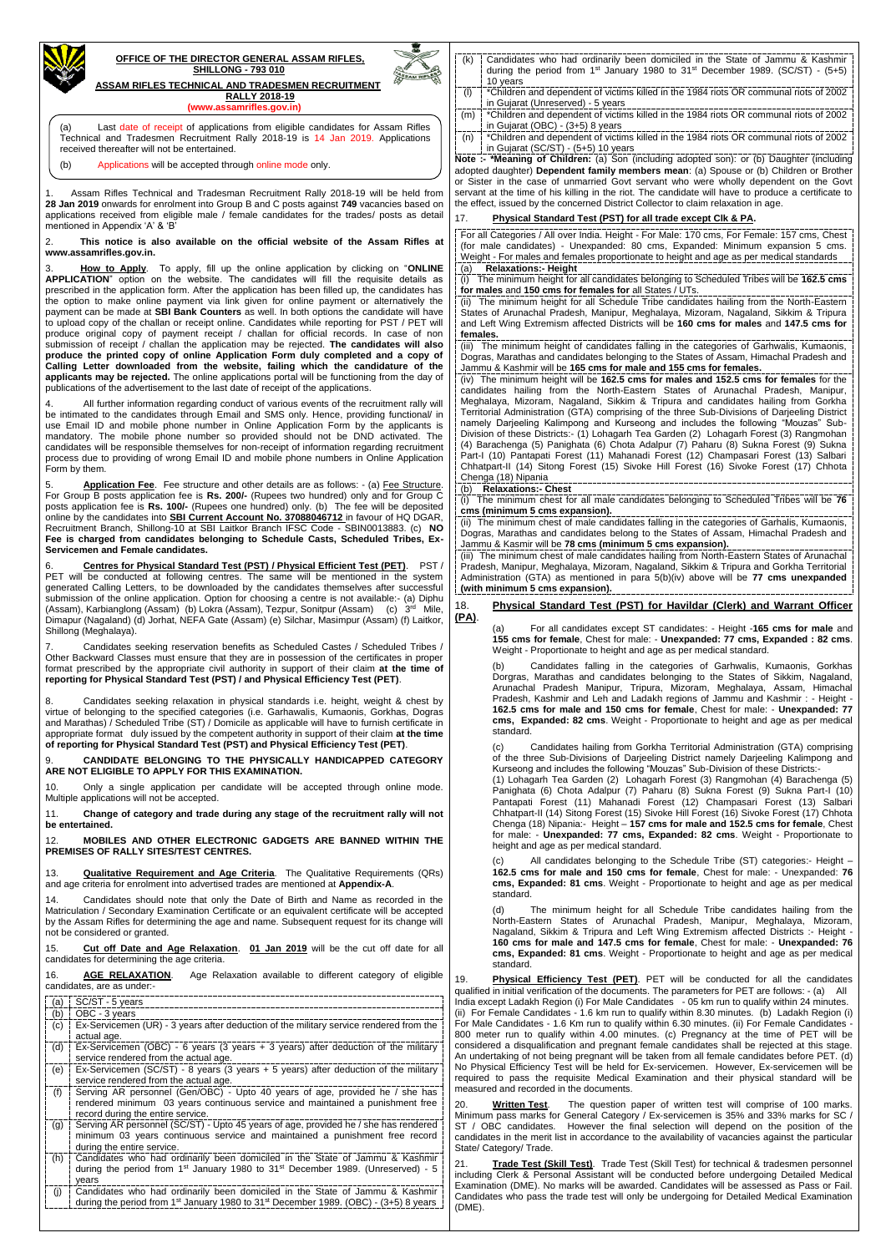

## **OFFICE OF THE DIRECTOR GENERAL ASSAM RIFLES, SHILLONG - 793 010**

**ASSAM RIFLES TECHNICAL AND TRADESMEN RECRUITMENT RALLY 2018-19** 

**(www.assamrifles.gov.in)**

1. Assam Rifles Technical and Tradesman Recruitment Rally 2018-19 will be held from **28 Jan 2019** onwards for enrolment into Group B and C posts against **749** vacancies based on applications received from eligible male / female candidates for the trades/ posts as detail mentioned in Appendix 'A' & 'B'

2. **This notice is also available on the official website of the Assam Rifles at www.assamrifles.gov.in.**

3. **How to Apply**. To apply, fill up the online application by clicking on "**ONLINE APPLICATION**" option on the website. The candidates will fill the requisite details as prescribed in the application form. After the application has been filled up, the candidates has the option to make online payment via link given for online payment or alternatively the payment can be made at **SBI Bank Counters** as well. In both options the candidate will have to upload copy of the challan or receipt online. Candidates while reporting for PST / PET will produce original copy of payment receipt / challan for official records. In case of non submission of receipt / challan the application may be rejected. **The candidates will also produce the printed copy of online Application Form duly completed and a copy of Calling Letter downloaded from the website, failing which the candidature of the applicants may be rejected.** The online applications portal will be functioning from the day of publications of the advertisement to the last date of receipt of the applications.

Application Fee. Fee structure and other details are as follows: - (a) Fee Structure. For Group B posts application fee is **Rs. 200/-** (Rupees two hundred) only and for Group C posts application fee is **Rs. 100/-** (Rupees one hundred) only. (b) The fee will be deposited online by the candidates into **SBI Current Account No. 37088046712** in favour of HQ DGAR, Recruitment Branch, Shillong-10 at SBI Laitkor Branch IFSC Code - SBIN0013883. (c) **NO Fee is charged from candidates belonging to Schedule Casts, Scheduled Tribes, Ex-Servicemen and Female candidates.**

4. All further information regarding conduct of various events of the recruitment rally will be intimated to the candidates through Email and SMS only. Hence, providing functional/ in use Email ID and mobile phone number in Online Application Form by the applicants is mandatory. The mobile phone number so provided should not be DND activated. The candidates will be responsible themselves for non-receipt of information regarding recruitment process due to providing of wrong Email ID and mobile phone numbers in Online Application Form by them.

Candidates seeking relaxation in physical standards i.e. height, weight & chest by virtue of belonging to the specified categories (i.e. Garhawalis, Kumaonis, Gorkhas, Dogras and Marathas) / Scheduled Tribe (ST) / Domicile as applicable will have to furnish certificate in appropriate format duly issued by the competent authority in support of their claim **at the time of reporting for Physical Standard Test (PST) and Physical Efficiency Test (PET)**.

6. **Centres for Physical Standard Test (PST) / Physical Efficient Test (PET)**. PST / PET will be conducted at following centres. The same will be mentioned in the system generated Calling Letters, to be downloaded by the candidates themselves after successful submission of the online application. Option for choosing a centre is not available:- (a) Diphu (Assam), Karbianglong (Assam) (b) Lokra (Assam), Tezpur, Sonitpur (Assam) (c) 3<sup>rd</sup> Mile, Dimapur (Nagaland) (d) Jorhat, NEFA Gate (Assam) (e) Silchar, Masimpur (Assam) (f) Laitkor, Shillong (Meghalaya).

- Candidates who had ordinarily been domiciled in the State of Jammu & Kashmir during the period from  $1<sup>st</sup>$  January 1980 to  $31<sup>st</sup>$  December 1989. (SC/ST) - (5+5) 10 years
- (l) \*Children and dependent of victims killed in the 1984 riots OR communal riots of 2002 in Gujarat (Unreserved) - 5 years
- (m) \*Children and dependent of victims killed in the 1984 riots OR communal riots of 2002 in Gujarat (OBC) - (3+5) 8 years
- (n) \*Children and dependent of victims killed in the 1984 riots OR communal riots of 2002 in Gujarat (SC/ST) - (5+5) 10 years

7. Candidates seeking reservation benefits as Scheduled Castes / Scheduled Tribes / Other Backward Classes must ensure that they are in possession of the certificates in proper format prescribed by the appropriate civil authority in support of their claim **at the time of reporting for Physical Standard Test (PST) / and Physical Efficiency Test (PET)**.

9. **CANDIDATE BELONGING TO THE PHYSICALLY HANDICAPPED CATEGORY ARE NOT ELIGIBLE TO APPLY FOR THIS EXAMINATION.**

10. Only a single application per candidate will be accepted through online mode. Multiple applications will not be accepted.

11. **Change of category and trade during any stage of the recruitment rally will not be entertained.** 

12. **MOBILES AND OTHER ELECTRONIC GADGETS ARE BANNED WITHIN THE PREMISES OF RALLY SITES/TEST CENTRES.**

13. **Qualitative Requirement and Age Criteria**. The Qualitative Requirements (QRs) and age criteria for enrolment into advertised trades are mentioned at **Appendix-A**.

14. Candidates should note that only the Date of Birth and Name as recorded in the Matriculation / Secondary Examination Certificate or an equivalent certificate will be accepted by the Assam Rifles for determining the age and name. Subsequent request for its change will not be considered or granted.

For all candidates except ST candidates: - Height -165 cms for male and **155 cms for female**, Chest for male: - **Unexpanded: 77 cms, Expanded : 82 cms**. Weight - Proportionate to height and age as per medical standard.

Candidates falling in the categories of Garhwalis, Kumaonis, Gorkhas Dorgras, Marathas and candidates belonging to the States of Sikkim, Nagaland, Arunachal Pradesh Manipur, Tripura, Mizoram, Meghalaya, Assam, Himachal Pradesh, Kashmir and Leh and Ladakh regions of Jammu and Kashmir : - Height - **162.5 cms for male and 150 cms for female**, Chest for male: - **Unexpanded: 77 cms, Expanded: 82 cms**. Weight - Proportionate to height and age as per medical standard.

All candidates belonging to the Schedule Tribe (ST) categories:- Height -**162.5 cms for male and 150 cms for female**, Chest for male: - Unexpanded: **76 cms, Expanded: 81 cms**. Weight - Proportionate to height and age as per medical standard.

The minimum height for all Schedule Tribe candidates hailing from the North-Eastern States of Arunachal Pradesh, Manipur, Meghalaya, Mizoram, Nagaland, Sikkim & Tripura and Left Wing Extremism affected Districts :- Height - **160 cms for male and 147.5 cms for female**, Chest for male: - **Unexpanded: 76 s**. Weight - Proportionate to height and age as per medical standard.

**Note :- \*Meaning of Children:** (a) Son (including adopted son): or (b) Daughter (including adopted daughter) **Dependent family members mean**: (a) Spouse or (b) Children or Brother or Sister in the case of unmarried Govt servant who were wholly dependent on the Govt servant at the time of his killing in the riot. The candidate will have to produce a certificate to the effect, issued by the concerned District Collector to claim relaxation in age.

## 17. **Physical Standard Test (PST) for all trade except Clk & PA.**

For all Categories / All over India. Height - For Male: 170 cms, For Female: 157 cms, Chest (for male candidates) - Unexpanded: 80 cms, Expanded: Minimum expansion 5 cms. Weight - For males and females proportionate to height and age as per medical standards (a) **Relaxations:- Height**

(i) The minimum height for all candidates belonging to Scheduled Tribes will be **162.5 cms for males** and **150 cms for females for** all States / UTs.

(ii) The minimum height for all Schedule Tribe candidates hailing from the North-Eastern States of Arunachal Pradesh, Manipur, Meghalaya, Mizoram, Nagaland, Sikkim & Tripura and Left Wing Extremism affected Districts will be **160 cms for males** and **147.5 cms for females.**

(iii) The minimum height of candidates falling in the categories of Garhwalis, Kumaonis, Dogras, Marathas and candidates belonging to the States of Assam, Himachal Pradesh and Jammu & Kashmir will be **165 cms for male and 155 cms for females.**

(iv) The minimum height will be **162.5 cms for males and 152.5 cms for females** for the candidates hailing from the North-Eastern States of Arunachal Pradesh, Manipur, Meghalaya, Mizoram, Nagaland, Sikkim & Tripura and candidates hailing from Gorkha Territorial Administration (GTA) comprising of the three Sub-Divisions of Darjeeling District namely Darjeeling Kalimpong and Kurseong and includes the following "Mouzas" Sub-Division of these Districts:- (1) Lohagarh Tea Garden (2) Lohagarh Forest (3) Rangmohan (4) Barachenga (5) Panighata (6) Chota Adalpur (7) Paharu (8) Sukna Forest (9) Sukna Part-I (10) Pantapati Forest (11) Mahanadi Forest (12) Champasari Forest (13) Salbari Chhatpart-II (14) Sitong Forest (15) Sivoke Hill Forest (16) Sivoke Forest (17) Chhota Chenga (18) Nipania

(b) **Relaxations:- Chest**

(i) The minimum chest for all male candidates belonging to Scheduled Tribes will be **76 cms (minimum 5 cms expansion).**

| 15. | <b>Cut off Date and Age Relaxation. 01 Jan 2019</b> will be the cut off date for all<br>candidates for determining the age criteria.                                                               | $3110$ $191$ $11000$ $0110$<br>cms, Expanded: 81 cms<br>standard.                                            |  |  |  |  |  |
|-----|----------------------------------------------------------------------------------------------------------------------------------------------------------------------------------------------------|--------------------------------------------------------------------------------------------------------------|--|--|--|--|--|
| 16. | AGE RELAXATION.<br>Age Relaxation available to different category of eligible<br>candidates, are as under:-                                                                                        | 19.<br><b>Physical Efficiency Tes</b><br>qualified in initial verification of the                            |  |  |  |  |  |
| (a) | SC/ST - 5 years                                                                                                                                                                                    | India except Ladakh Region (i) For                                                                           |  |  |  |  |  |
| (b) | OBC - 3 years                                                                                                                                                                                      | (ii) For Female Candidates - 1.6 k                                                                           |  |  |  |  |  |
| (c) | Ex-Servicemen (UR) - 3 years after deduction of the military service rendered from the<br>actual age.                                                                                              | For Male Candidates - 1.6 Km run<br>800 meter run to qualify within                                          |  |  |  |  |  |
| (d) | Ex-Servicemen (OBC) - 6 years (3 years + 3 years) after deduction of the military<br>service rendered from the actual age.                                                                         | considered a disqualification and<br>An undertaking of not being pregna                                      |  |  |  |  |  |
| (e) | Ex-Servicemen (SC/ST) - 8 years (3 years + 5 years) after deduction of the military<br>service rendered from the actual age.                                                                       | No Physical Efficiency Test will be<br>required to pass the requisite M                                      |  |  |  |  |  |
| (f) | Serving AR personnel (Gen/OBC) - Upto 40 years of age, provided he / she has<br>rendered minimum 03 years continuous service and maintained a punishment free<br>record during the entire service. | measured and recorded in the doct<br><b>Written Test.</b><br>20.<br>The qu<br>Minimum pass marks for General |  |  |  |  |  |
| (g) | Serving AR personnel (SC/ST) - Upto 45 years of age, provided he / she has rendered<br>minimum 03 years continuous service and maintained a punishment free record<br>during the entire service.   | ST / OBC candidates.<br>Howeve<br>candidates in the merit list in acco<br>State/ Category/ Trade.            |  |  |  |  |  |
| (h) | Candidates who had ordinarily been domiciled in the State of Jammu & Kashmir<br>during the period from $1st$ January 1980 to 31 <sup>st</sup> December 1989. (Unreserved) - 5<br>vears             | Trade Test (Skill Test).<br>21.<br>including Clerk & Personal Assist<br>Examination (DME). No marks will     |  |  |  |  |  |
| (i) | Candidates who had ordinarily been domiciled in the State of Jammu & Kashmir<br>during the period from 1 <sup>st</sup> January 1980 to 31 <sup>st</sup> December 1989. (OBC) - (3+5) 8 years       | Candidates who pass the trade te<br>(DME).                                                                   |  |  |  |  |  |
|     |                                                                                                                                                                                                    |                                                                                                              |  |  |  |  |  |

st (PET). PET will be conducted for all the candidates documents. The parameters for PET are follows: - (a) All  $\cdot$  Male Candidates  $-05$  km run to qualify within 24 minutes. (iii) For Female Candidates Arm run to qualify within 8.30 minutes. (b) Ladakh Region (i) to qualify within 6.30 minutes. (ii) For Female Candidates -4.00 minutes. (c) Pregnancy at the time of PET will be pregnant female candidates shall be rejected at this stage. ant will be taken from all female candidates before PET.  $(d)$ e held for Ex-servicemen. However, Ex-servicemen will be Medical Examination and their physical standard will be uments.

estion paper of written test will comprise of 100 marks. Category / Ex-servicemen is 35% and 33% marks for SC / er the final selection will depend on the position of the ordance to the availability of vacancies against the particular

Trade Test (Skill Test) for technical & tradesmen personnel tant will be conducted before undergoing Detailed Medical I be awarded. Candidates will be assessed as Pass or Fail. st will only be undergoing for Detailed Medical Examination

(ii) The minimum chest of male candidates falling in the categories of Garhalis, Kumaonis, Dogras, Marathas and candidates belong to the States of Assam, Himachal Pradesh and Jammu & Kasmir will be **78 cms (minimum 5 cms expansion).**

(iii) The minimum chest of male candidates hailing from North-Eastern States of Arunachal Pradesh, Manipur, Meghalaya, Mizoram, Nagaland, Sikkim & Tripura and Gorkha Territorial Administration (GTA) as mentioned in para 5(b)(iv) above will be **77 cms unexpanded (with minimum 5 cms expansion).**

18. **Physical Standard Test (PST) for Havildar (Clerk) and Warrant Officer (PA)**.

(c) Candidates hailing from Gorkha Territorial Administration (GTA) comprising of the three Sub-Divisions of Darjeeling District namely Darjeeling Kalimpong and Kurseong and includes the following "Mouzas" Sub-Division of these Districts:-

(1) Lohagarh Tea Garden (2) Lohagarh Forest (3) Rangmohan (4) Barachenga (5) Panighata (6) Chota Adalpur (7) Paharu (8) Sukna Forest (9) Sukna Part-I (10) Pantapati Forest (11) Mahanadi Forest (12) Champasari Forest (13) Salbari Chhatpart-II (14) Sitong Forest (15) Sivoke Hill Forest (16) Sivoke Forest (17) Chhota Chenga (18) Nipania:- Height – **157 cms for male and 152.5 cms for female**, Chest for male: - **Unexpanded: 77 cms, Expanded: 82 cms**. Weight - Proportionate to height and age as per medical standard.

(a) Last date of receipt of applications from eligible candidates for Assam Rifles Technical and Tradesmen Recruitment Rally 2018-19 is 14 Jan 2019. Applications received thereafter will not be entertained.

(b) Applications will be accepted through online mode only.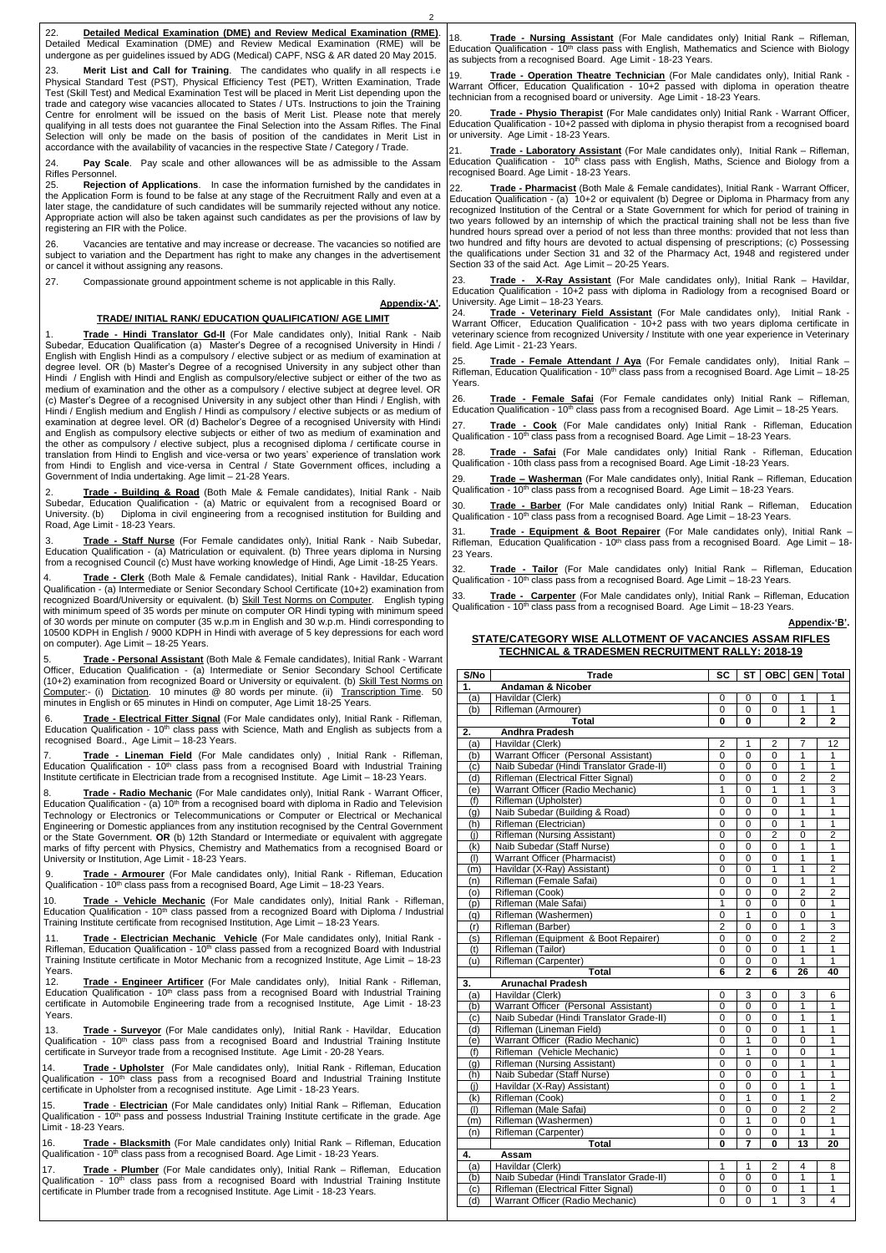2

| 22.<br>Detailed Medical Examination (DME) and Review Medical Examination (RME).                                                                                                                                                                                                                                                                                                                                                     |                                                                                                                                                                                                                                                                                                                                                                                                                                                                                                  |
|-------------------------------------------------------------------------------------------------------------------------------------------------------------------------------------------------------------------------------------------------------------------------------------------------------------------------------------------------------------------------------------------------------------------------------------|--------------------------------------------------------------------------------------------------------------------------------------------------------------------------------------------------------------------------------------------------------------------------------------------------------------------------------------------------------------------------------------------------------------------------------------------------------------------------------------------------|
| Detailed Medical Examination (DME) and Review Medical Examination (RME) will be<br>undergone as per guidelines issued by ADG (Medical) CAPF, NSG & AR dated 20 May 2015.                                                                                                                                                                                                                                                            | 18.<br>Trade - Nursing Assistant (For Male candidates only) Initial Rank – Rifleman,<br>Education Qualification - 10 <sup>th</sup> class pass with English, Mathematics and Science with Biology                                                                                                                                                                                                                                                                                                 |
|                                                                                                                                                                                                                                                                                                                                                                                                                                     | as subjects from a recognised Board. Age Limit - 18-23 Years.                                                                                                                                                                                                                                                                                                                                                                                                                                    |
| 23.<br>Merit List and Call for Training. The candidates who qualify in all respects i.e.<br>Physical Standard Test (PST), Physical Efficiency Test (PET), Written Examination, Trade<br>Test (Skill Test) and Medical Examination Test will be placed in Merit List depending upon the                                                                                                                                              | 19.<br>Trade - Operation Theatre Technician (For Male candidates only), Initial Rank -<br>Warrant Officer, Education Qualification - 10+2 passed with diploma in operation theatre<br>technician from a recognised board or university. Age Limit - 18-23 Years.                                                                                                                                                                                                                                 |
| trade and category wise vacancies allocated to States / UTs. Instructions to join the Training<br>Centre for enrolment will be issued on the basis of Merit List. Please note that merely<br>qualifying in all tests does not guarantee the Final Selection into the Assam Rifles. The Final<br>Selection will only be made on the basis of position of the candidates in Merit List in                                             | Trade - Physio Therapist (For Male candidates only) Initial Rank - Warrant Officer,<br>20.<br>Education Qualification - 10+2 passed with diploma in physio therapist from a recognised board<br>or university. Age Limit - 18-23 Years.                                                                                                                                                                                                                                                          |
| accordance with the availability of vacancies in the respective State / Category / Trade.                                                                                                                                                                                                                                                                                                                                           | 21.                                                                                                                                                                                                                                                                                                                                                                                                                                                                                              |
| Pay Scale. Pay scale and other allowances will be as admissible to the Assam<br>24.<br>Rifles Personnel.                                                                                                                                                                                                                                                                                                                            | Trade - Laboratory Assistant (For Male candidates only), Initial Rank - Rifleman,<br>Education Qualification - 10 <sup>th</sup> class pass with English, Maths, Science and Biology from a<br>recognised Board. Age Limit - 18-23 Years.                                                                                                                                                                                                                                                         |
| 25.<br>Rejection of Applications. In case the information furnished by the candidates in<br>the Application Form is found to be false at any stage of the Recruitment Rally and even at a<br>later stage, the candidature of such candidates will be summarily rejected without any notice.<br>Appropriate action will also be taken against such candidates as per the provisions of law by<br>registering an FIR with the Police. | 22.<br>Trade - Pharmacist (Both Male & Female candidates), Initial Rank - Warrant Officer,<br>Education Qualification - (a) 10+2 or equivalent (b) Degree or Diploma in Pharmacy from any<br>recognized Institution of the Central or a State Government for which for period of training in<br>two years followed by an internship of which the practical training shall not be less than five<br>hundred hours spread over a period of not less than three months: provided that not less than |
| 26.<br>Vacancies are tentative and may increase or decrease. The vacancies so notified are<br>subject to variation and the Department has right to make any changes in the advertisement<br>or cancel it without assigning any reasons.                                                                                                                                                                                             | two hundred and fifty hours are devoted to actual dispensing of prescriptions; (c) Possessing<br>the qualifications under Section 31 and 32 of the Pharmacy Act, 1948 and registered under<br>Section 33 of the said Act. Age Limit - 20-25 Years.                                                                                                                                                                                                                                               |
| 27.<br>Compassionate ground appointment scheme is not applicable in this Rally.                                                                                                                                                                                                                                                                                                                                                     | 23.<br>Trade - X-Ray Assistant (For Male candidates only), Initial Rank - Havildar,<br>Education Qualification - 10+2 pass with diploma in Radiology from a recognised Board or<br>University. Age Limit - 18-23 Years.                                                                                                                                                                                                                                                                          |
| Appendix-'A'.                                                                                                                                                                                                                                                                                                                                                                                                                       | Trade - Veterinary Field Assistant (For Male candidates only), Initial Rank -<br>24.                                                                                                                                                                                                                                                                                                                                                                                                             |
| TRADE/ INITIAL RANK/ EDUCATION QUALIFICATION/ AGE LIMIT                                                                                                                                                                                                                                                                                                                                                                             | Warrant Officer, Education Qualification - 10+2 pass with two years diploma certificate in                                                                                                                                                                                                                                                                                                                                                                                                       |
| Trade - Hindi Translator Gd-II (For Male candidates only), Initial Rank - Naib<br>1.<br>Subedar, Education Qualification (a) Master's Degree of a recognised University in Hindi /<br>English with English Hindi as a compulsory / elective subject or as medium of examination at                                                                                                                                                  | veterinary science from recognized University / Institute with one year experience in Veterinary<br>field. Age Limit - 21-23 Years.                                                                                                                                                                                                                                                                                                                                                              |
| degree level. OR (b) Master's Degree of a recognised University in any subject other than<br>Hindi / English with Hindi and English as compulsory/elective subject or either of the two as                                                                                                                                                                                                                                          | 25.<br>Trade - Female Attendant / Aya (For Female candidates only), Initial Rank -<br>Rifleman, Education Qualification - 10 <sup>th</sup> class pass from a recognised Board. Age Limit - 18-25<br>Years.                                                                                                                                                                                                                                                                                       |
| medium of examination and the other as a compulsory / elective subject at degree level. OR<br>(c) Master's Degree of a recognised University in any subject other than Hindi / English, with<br>Hindi / English medium and English / Hindi as compulsory / elective subjects or as medium of                                                                                                                                        | Trade - Female Safai (For Female candidates only) Initial Rank – Rifleman,<br>26.<br>Education Qualification - 10 <sup>th</sup> class pass from a recognised Board. Age Limit - 18-25 Years.                                                                                                                                                                                                                                                                                                     |
| examination at degree level. OR (d) Bachelor's Degree of a recognised University with Hindi<br>and English as compulsory elective subjects or either of two as medium of examination and                                                                                                                                                                                                                                            | 27.<br>Trade - Cook (For Male candidates only) Initial Rank - Rifleman, Education<br>Qualification - $10th$ class pass from a recognised Board. Age Limit $-18-23$ Years.                                                                                                                                                                                                                                                                                                                        |
| the other as compulsory / elective subject, plus a recognised diploma / certificate course in<br>translation from Hindi to English and vice-versa or two years' experience of translation work<br>from Hindi to English and vice-versa in Central / State Government offices, including a                                                                                                                                           | Trade - Safai (For Male candidates only) Initial Rank - Rifleman, Education<br>28.<br>Qualification - 10th class pass from a recognised Board. Age Limit -18-23 Years.                                                                                                                                                                                                                                                                                                                           |
| Government of India undertaking. Age limit - 21-28 Years.<br>2.<br>Trade - Building & Road (Both Male & Female candidates), Initial Rank - Naib                                                                                                                                                                                                                                                                                     | 29.<br>Trade - Washerman (For Male candidates only), Initial Rank - Rifleman, Education<br>Qualification - $10th$ class pass from a recognised Board. Age Limit – 18-23 Years.                                                                                                                                                                                                                                                                                                                   |
| Subedar, Education Qualification - (a) Matric or equivalent from a recognised Board or<br>Diploma in civil engineering from a recognised institution for Building and<br>University. (b)<br>Road, Age Limit - 18-23 Years.                                                                                                                                                                                                          | 30.<br>Trade - Barber (For Male candidates only) Initial Rank - Rifleman, Education<br>Qualification - 10 <sup>th</sup> class pass from a recognised Board. Age Limit - 18-23 Years.                                                                                                                                                                                                                                                                                                             |
| Trade - Staff Nurse (For Female candidates only), Initial Rank - Naib Subedar,<br>3.<br>Education Qualification - (a) Matriculation or equivalent. (b) Three years diploma in Nursing                                                                                                                                                                                                                                               | 31.<br>Trade - Equipment & Boot Repairer (For Male candidates only), Initial Rank -<br>Rifleman, Education Qualification - $10^{th}$ class pass from a recognised Board. Age Limit - 18-<br>23 Years.                                                                                                                                                                                                                                                                                            |
| from a recognised Council (c) Must have working knowledge of Hindi, Age Limit -18-25 Years.<br>Trade - Clerk (Both Male & Female candidates), Initial Rank - Havildar, Education<br>4.                                                                                                                                                                                                                                              | 32.<br>Trade - Tailor (For Male candidates only) Initial Rank - Rifleman, Education<br>Qualification - 10 <sup>th</sup> class pass from a recognised Board. Age Limit - 18-23 Years.                                                                                                                                                                                                                                                                                                             |
| Qualification - (a) Intermediate or Senior Secondary School Certificate (10+2) examination from<br>recognized Board/University or equivalent. (b) Skill Test Norms on Computer. English typing<br>with minimum speed of 35 words per minute on computer OR Hindi typing with minimum speed                                                                                                                                          | Trade - Carpenter (For Male candidates only), Initial Rank - Rifleman, Education<br>33.<br>Qualification - 10 <sup>th</sup> class pass from a recognised Board. Age Limit - 18-23 Years.                                                                                                                                                                                                                                                                                                         |
| of 30 words per minute on computer (35 w.p.m in English and 30 w.p.m. Hindi corresponding to<br>10500 KDPH in English / 9000 KDPH in Hindi with average of 5 key depressions for each word                                                                                                                                                                                                                                          | Appendix-'B'.                                                                                                                                                                                                                                                                                                                                                                                                                                                                                    |
| on computer). Age Limit - 18-25 Years.                                                                                                                                                                                                                                                                                                                                                                                              | STATE/CATEGORY WISE ALLOTMENT OF VACANCIES ASSAM RIFLES                                                                                                                                                                                                                                                                                                                                                                                                                                          |
| Trade - Personal Assistant (Both Male & Female candidates), Initial Rank - Warrant<br>5.                                                                                                                                                                                                                                                                                                                                            | <b>TECHNICAL &amp; TRADESMEN RECRUITMENT RALLY: 2018-19</b>                                                                                                                                                                                                                                                                                                                                                                                                                                      |
| Officer, Education Qualification - (a) Intermediate or Senior Secondary School Certificate                                                                                                                                                                                                                                                                                                                                          | S/No<br>ST   OBC   GEN   Total<br><b>Trade</b><br>SC                                                                                                                                                                                                                                                                                                                                                                                                                                             |
| (10+2) examination from recognized Board or University or equivalent. (b) Skill Test Norms on                                                                                                                                                                                                                                                                                                                                       | <b>Andaman &amp; Nicober</b><br>1.                                                                                                                                                                                                                                                                                                                                                                                                                                                               |
| Computer:- (i) Dictation. 10 minutes @ 80 words per minute. (ii) Transcription Time. 50                                                                                                                                                                                                                                                                                                                                             | Havildar (Clerk)<br>(a)<br>0<br>0<br>0<br>1                                                                                                                                                                                                                                                                                                                                                                                                                                                      |
| minutes in English or 65 minutes in Hindi on computer, Age Limit 18-25 Years.                                                                                                                                                                                                                                                                                                                                                       | Rifleman (Armourer)<br>$\mathbf 0$<br>$\mathbf{1}$<br>(b)<br>0<br>0<br>-1                                                                                                                                                                                                                                                                                                                                                                                                                        |
| Trade - Electrical Fitter Signal (For Male candidates only), Initial Rank - Rifleman,<br>6.                                                                                                                                                                                                                                                                                                                                         | $\overline{2}$<br>$\mathbf{2}$<br><b>Total</b><br>$\bf{0}$<br>0                                                                                                                                                                                                                                                                                                                                                                                                                                  |
| Education Qualification - $10th$ class pass with Science, Math and English as subjects from a<br>recognised Board., Age Limit - 18-23 Years.                                                                                                                                                                                                                                                                                        | 2.<br><b>Andhra Pradesh</b>                                                                                                                                                                                                                                                                                                                                                                                                                                                                      |
|                                                                                                                                                                                                                                                                                                                                                                                                                                     | Havildar (Clerk)<br>$\overline{2}$<br>$\overline{2}$<br>-7<br>12<br>(a)                                                                                                                                                                                                                                                                                                                                                                                                                          |
| Trade - Lineman Field (For Male candidates only), Initial Rank - Rifleman,<br>7.<br>Education Qualification - 10 <sup>th</sup> class pass from a recognised Board with Industrial Training                                                                                                                                                                                                                                          | Warrant Officer (Personal Assistant)<br>0<br>0<br>0<br>-1<br>$\mathbf{1}$<br>(b)<br>Naib Subedar (Hindi Translator Grade-II)<br>$\mathbf{1}$<br>(c)<br>0<br>0<br>0                                                                                                                                                                                                                                                                                                                               |
| Institute certificate in Electrician trade from a recognised Institute. Age Limit - 18-23 Years.                                                                                                                                                                                                                                                                                                                                    | $\overline{2}$<br>2<br>(d)<br>Rifleman (Electrical Fitter Signal)<br>0<br>0<br>0                                                                                                                                                                                                                                                                                                                                                                                                                 |
|                                                                                                                                                                                                                                                                                                                                                                                                                                     | 3<br>Warrant Officer (Radio Mechanic)<br>0<br>$\overline{1}$<br>-1<br>(e)                                                                                                                                                                                                                                                                                                                                                                                                                        |
| Trade - Radio Mechanic (For Male candidates only), Initial Rank - Warrant Officer,<br>8.<br>Education Qualification - (a) 10 <sup>th</sup> from a recognised board with diploma in Radio and Television                                                                                                                                                                                                                             | Rifleman (Upholster)<br>$\mathbf 0$<br>0<br>$\overline{1}$<br>$\overline{1}$<br>0<br>(f)                                                                                                                                                                                                                                                                                                                                                                                                         |
| Technology or Electronics or Telecommunications or Computer or Electrical or Mechanical                                                                                                                                                                                                                                                                                                                                             | Naib Subedar (Building & Road)<br>0<br>0<br>$\mathbf{1}$<br>0<br>-1<br>(q)                                                                                                                                                                                                                                                                                                                                                                                                                       |
| Engineering or Domestic appliances from any institution recognised by the Central Government                                                                                                                                                                                                                                                                                                                                        | (h)<br>Rifleman (Electrician)<br>$\mathbf{1}$<br>0<br>0<br>0                                                                                                                                                                                                                                                                                                                                                                                                                                     |
| or the State Government. OR (b) 12th Standard or Intermediate or equivalent with aggregate                                                                                                                                                                                                                                                                                                                                          | <b>Rifleman (Nursing Assistant)</b><br>2<br>2<br>$\Omega$<br>0<br>0                                                                                                                                                                                                                                                                                                                                                                                                                              |

or the State Government. OR (b) 12th Standard or Intermediate or equivalent with aggregate marks of fifty percent with Physics, Chemistry and Mathematics from a recognised Board or University or Institution, Age Limit - 18-23 Years.

9. **Trade - Armourer** (For Male candidates only), Initial Rank - Rifleman, Education Qualification - 10<sup>th</sup> class pass from a recognised Board, Age Limit - 18-23 Years.

Rifleman, Education Qualification - 10<sup>th</sup> class passed from a recognized Board with Industrial Training Institute certificate in Motor Mechanic from a recognized Institute, Age Limit – 18-23 Years.

16. **Trade - Blacksmith** (For Male candidates only) Initial Rank – Rifleman, Education Qualification - 10<sup>th</sup> class pass from a recognised Board. Age Limit - 18-23 Years.

10. **Trade - Vehicle Mechanic** (For Male candidates only), Initial Rank - Rifleman, Education Qualification - 10<sup>th</sup> class passed from a recognized Board with Diploma / Industrial Training Institute certificate from recognised Institution, Age Limit – 18-23 Years.

(k) Naib Subedar (Staff Nurse) 0 0 0 1 1 (I) Warrant Officer (Pharmacist) 0 0 0 1 1 1 1 (m) Havildar (X-Ray) Assistant) 0 0 1 1 2  $(m)$  Havildar  $(X-Ray)$  Assistant $($ (n) Rifleman (Female Safai) | 0 0 0 1 1 1 (o) Rifleman (Cook) (0 0 0 2 2 (p) Rifleman (Male Safai) | 1 | 0 | 0 | 1 (q) Rifleman (Washermen) 0 1 0 0 1 (r) Rifleman (Barber) 2 0 0 1 3 (s) Rifleman (Equipment & Boot Repairer) 0 0 0 2 2

11. **Trade - Electrician Mechanic Vehicle** (For Male candidates only), Initial Rank -

12. **Trade - Engineer Artificer** (For Male candidates only), Initial Rank - Rifleman, Education Qualification - 10<sup>th</sup> class pass from a recognised Board with Industrial Training certificate in Automobile Engineering trade from a recognised Institute, Age Limit - 18-23 Years.

13. **Trade - Surveyor** (For Male candidates only), Initial Rank - Havildar, Education Qualification -  $10<sup>th</sup>$  class pass from a recognised Board and Industrial Training Institute certificate in Surveyor trade from a recognised Institute. Age Limit - 20-28 Years.

14. **Trade - Upholster** (For Male candidates only), Initial Rank - Rifleman, Education Qualification - 10<sup>th</sup> class pass from a recognised Board and Industrial Training Institute certificate in Upholster from a recognised institute. Age Limit - 18-23 Years.

15. **Trade** - **Electrician** (For Male candidates only) Initial Rank – Rifleman, Education Qualification -  $10<sup>th</sup>$  pass and possess Industrial Training Institute certificate in the grade. Age Limit - 18-23 Years.

17. **Trade - Plumber** (For Male candidates only), Initial Rank – Rifleman, Education Qualification - 10<sup>th</sup> class pass from a recognised Board with Industrial Training Institute certificate in Plumber trade from a recognised Institute. Age Limit - 18-23 Years.

| (t) | Rifleman (Tailor)                        | $\Omega$ | 0              | 0        |                | 1              |
|-----|------------------------------------------|----------|----------------|----------|----------------|----------------|
| (u) | Rifleman (Carpenter)                     | $\Omega$ | $\Omega$       | 0        | 1              | 1              |
|     | Total                                    | 6        | $\overline{2}$ | 6        | 26             | 40             |
| 3.  | <b>Arunachal Pradesh</b>                 |          |                |          |                |                |
| (a) | Havildar (Clerk)                         | $\Omega$ | 3              | 0        | 3              | 6              |
| (b) | Warrant Officer (Personal Assistant)     | $\Omega$ | $\Omega$       | $\Omega$ | 1              | 1              |
| (c) | Naib Subedar (Hindi Translator Grade-II) | $\Omega$ | $\Omega$       | $\Omega$ | 1              | 1              |
| (d  | Rifleman (Lineman Field)                 | $\Omega$ | $\Omega$       | $\Omega$ | 1              | 1              |
| (e) | Warrant Officer (Radio Mechanic)         | $\Omega$ | 1              | $\Omega$ | $\Omega$       | 1              |
| (f) | Rifleman (Vehicle Mechanic)              | $\Omega$ | 1              | $\Omega$ | $\Omega$       | 1              |
| (g) | Rifleman (Nursing Assistant)             | $\Omega$ | $\Omega$       | $\Omega$ |                | 1              |
| (h) | Naib Subedar (Staff Nurse)               | $\Omega$ | $\Omega$       | $\Omega$ | 1              | 1              |
| (i) | Havildar (X-Ray) Assistant)              | $\Omega$ | $\Omega$       | 0        | 1              | 1              |
| (k) | Rifleman (Cook)                          | $\Omega$ | 1              | $\Omega$ | 1              | $\overline{2}$ |
| (1) | Rifleman (Male Safai)                    | 0        | $\Omega$       | $\Omega$ | $\overline{2}$ | $\overline{2}$ |
| (m) | Rifleman (Washermen)                     | $\Omega$ | 1              | $\Omega$ | $\Omega$       | 1              |
| (n) | Rifleman (Carpenter)                     | 0        | $\Omega$       | 0        | 1              | 1              |
|     | Total                                    | $\bf{0}$ | 7              | 0        | 13             | 20             |
| 4.  | Assam                                    |          |                |          |                |                |
| (a) | Havildar (Clerk)                         | 1        | 1              | 2        | 4              | 8              |
| (b) | Naib Subedar (Hindi Translator Grade-II) | $\Omega$ | $\Omega$       | $\Omega$ | 1              | 1              |
| (c) | Rifleman (Electrical Fitter Signal)      | $\Omega$ | $\Omega$       | $\Omega$ | 1              | 1              |
| (d) | Warrant Officer (Radio Mechanic)         | 0        | 0              | 1        | 3              | 4              |
|     |                                          |          |                |          |                |                |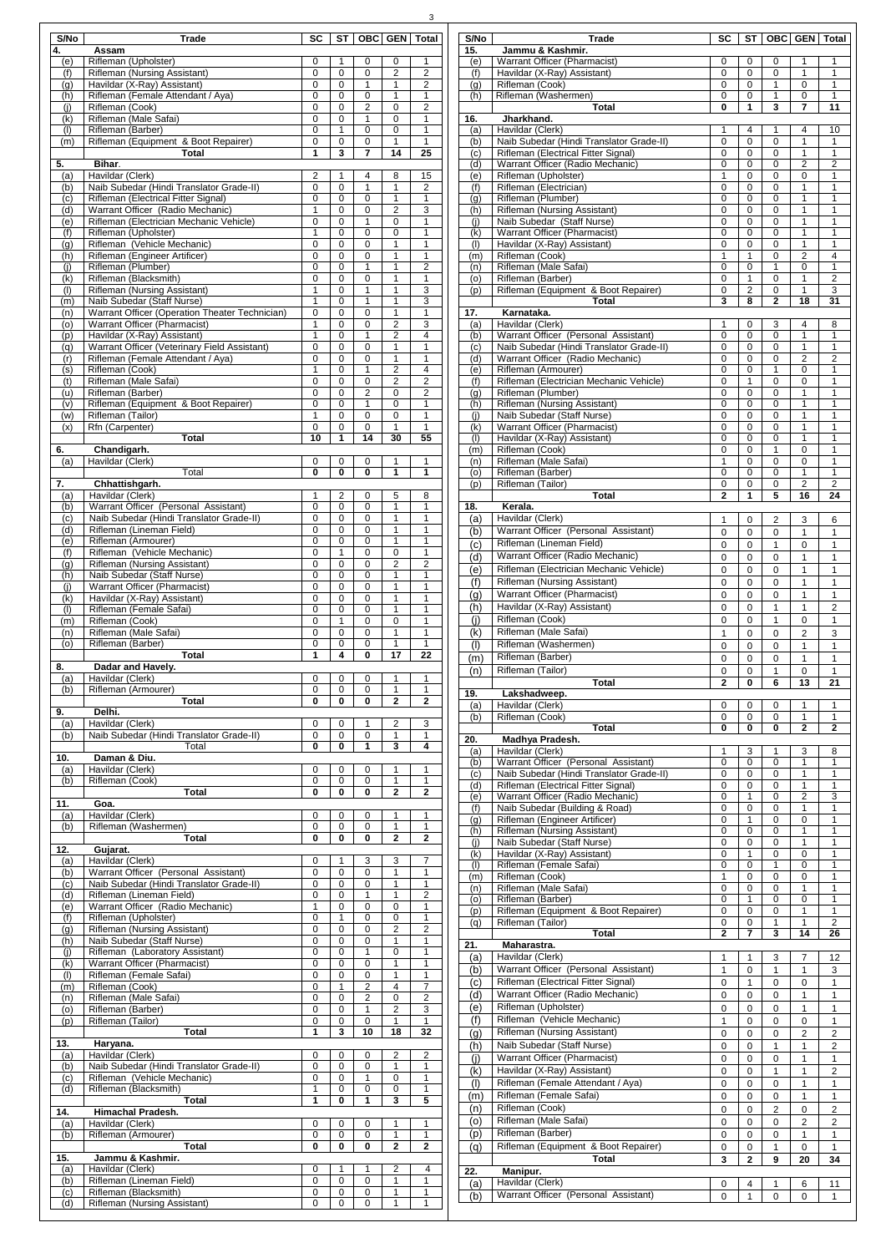| S/No       | <b>Trade</b>                                                                     | <b>SC</b>        | <b>ST</b>         |                          | <b>OBC GEN</b>                 | Total                        |
|------------|----------------------------------------------------------------------------------|------------------|-------------------|--------------------------|--------------------------------|------------------------------|
| 4.<br>(e)  | Assam<br>Rifleman (Upholster)                                                    | 0                | 1                 | 0                        | 0                              | 1                            |
| (f)        | Rifleman (Nursing Assistant)                                                     | 0                | 0                 | 0                        | $\overline{c}$                 | $\overline{c}$               |
| (g)<br>(h) | Havildar (X-Ray) Assistant)<br>Rifleman (Female Attendant / Aya)                 | 0<br>0           | 0<br>0            | 1<br>0                   | 1<br>1                         | $\overline{c}$<br>1          |
| (i)        | Rifleman (Cook)                                                                  | $\mathbf 0$      | 0                 | $\overline{2}$           | $\mathbf 0$                    | $\overline{2}$               |
| (k)        | Rifleman (Male Safai)                                                            | $\mathbf 0$      | $\pmb{0}$         | $\mathbf{1}$             | $\mathbf 0$                    | 1                            |
| (1)<br>(m) | Rifleman (Barber)<br>Rifleman (Equipment & Boot Repairer)                        | 0<br>0           | $\mathbf{1}$<br>0 | 0<br>0                   | 0<br>1                         | $\mathbf 1$<br>$\mathbf{1}$  |
|            | <b>Total</b>                                                                     | 1                | 3                 | 7                        | 14                             | 25                           |
| 5.<br>(a)  | Bihar.<br>Havildar (Clerk)                                                       | 2                | 1                 | 4                        | 8                              | 15                           |
| (b)        | Naib Subedar (Hindi Translator Grade-II)                                         | $\pmb{0}$        | 0                 | $\mathbf{1}$             | $\mathbf{1}$                   | $\overline{c}$               |
| (c)<br>(d) | Rifleman (Electrical Fitter Signal)<br>Warrant Officer (Radio Mechanic)          | 0<br>1           | 0<br>0            | 0<br>0                   | 1<br>$\overline{2}$            | 1<br>3                       |
| (e)        | Rifleman (Electrician Mechanic Vehicle)                                          | 0                | 0                 | 1                        | 0                              | 1                            |
| (f)        | Rifleman (Upholster)                                                             | 1                | $\mathbf 0$       | $\mathbf 0$              | $\mathbf 0$                    | 1                            |
| (g)<br>(h) | Rifleman (Vehicle Mechanic)<br>Rifleman (Engineer Artificer)                     | $\mathbf 0$<br>0 | 0<br>0            | 0<br>0                   | 1<br>1                         | 1<br>1                       |
| (i)        | Rifleman (Plumber)                                                               | 0                | 0                 | 1                        | 1                              | $\overline{c}$               |
| (k)<br>(1) | Rifleman (Blacksmith)<br>Rifleman (Nursing Assistant)                            | 0<br>1           | 0<br>0            | 0<br>$\mathbf{1}$        | 1<br>1                         | 1<br>3                       |
| (m)        | Naib Subedar (Staff Nurse)                                                       | 1                | 0                 | 1                        | 1                              | 3                            |
| (n)<br>(o) | Warrant Officer (Operation Theater Technician)<br>Warrant Officer (Pharmacist)   | 0<br>1           | 0<br>0            | 0<br>0                   | $\mathbf{1}$<br>2              | 1<br>3                       |
| (p)        | Havildar (X-Ray) Assistant)                                                      | 1                | 0                 | $\mathbf{1}$             | $\overline{2}$                 | $\overline{\mathbf{4}}$      |
| (q)        | Warrant Officer (Veterinary Field Assistant)                                     | $\mathbf 0$      | 0                 | 0                        | 1                              | $\mathbf{1}$                 |
| (r)<br>(s) | Rifleman (Female Attendant / Aya)<br>Rifleman (Cook)                             | $\mathbf 0$<br>1 | $\mathbf 0$<br>0  | $\pmb{0}$<br>$\mathbf 1$ | 1<br>$\overline{c}$            | $\overline{1}$<br>4          |
| (t)        | Rifleman (Male Safai)                                                            | 0                | 0                 | 0                        | $\overline{2}$                 | $\overline{2}$               |
| (u)<br>(v) | Rifleman (Barber)<br>Rifleman (Equipment & Boot Repairer)                        | 0<br>0           | 0<br>0            | $\overline{2}$<br>1      | 0<br>0                         | $\overline{2}$<br>1          |
| (w)        | Rifleman (Tailor)                                                                | 1                | 0                 | 0                        | 0                              | 1                            |
| (x)        | Rfn (Carpenter)<br><b>Total</b>                                                  | 0<br>10          | 0<br>1            | $\mathbf 0$<br>14        | $\mathbf{1}$<br>30             | $\mathbf{1}$<br>55           |
| 6.         | Chandigarh.                                                                      |                  |                   |                          |                                |                              |
| (a)        | Havildar (Clerk)                                                                 | 0                | 0                 | 0                        | 1                              | 1                            |
| 7.         | Total<br>Chhattishgarh.                                                          | $\bf{0}$         | 0                 | 0                        | 1                              | 1                            |
| (a)        | Havildar (Clerk)                                                                 | 1                | 2                 | 0                        | 5                              | 8                            |
| (b)<br>(c) | Warrant Officer (Personal Assistant)<br>Naib Subedar (Hindi Translator Grade-II) | 0<br>0           | 0<br>0            | 0<br>0                   | 1<br>1                         | 1<br>1                       |
| (d)        | Rifleman (Lineman Field)                                                         | $\mathbf 0$      | 0                 | 0                        | 1                              | 1                            |
| (e)        | Rifleman (Armourer)<br>Rifleman (Vehicle Mechanic)                               | 0                | 0<br>1            | 0                        | 1                              | 1                            |
| (f)<br>(g) | Rifleman (Nursing Assistant)                                                     | 0<br>0           | 0                 | 0<br>0                   | 0<br>2                         | 1<br>$\overline{c}$          |
| (h)        | Naib Subedar (Staff Nurse)                                                       | $\mathbf 0$      | 0                 | 0                        | 1                              | 1                            |
| (i)<br>(k) | Warrant Officer (Pharmacist)<br>Havildar (X-Ray) Assistant)                      | 0<br>$\mathbf 0$ | 0<br>0            | 0<br>0                   | 1<br>1                         | 1<br>1                       |
| (1)        | Rifleman (Female Safai)                                                          | 0                | 0                 | 0                        | $\mathbf{1}$                   | 1                            |
| (m)        | Rifleman (Cook)                                                                  | 0                | 1                 | 0                        | 0                              | 1                            |
| (n)<br>(o) | Rifleman (Male Safai)<br>Rifleman (Barber)                                       | 0<br>0           | 0<br>0            | 0<br>0                   | 1<br>1                         | 1<br>1                       |
|            | <b>Total</b>                                                                     | 1                | 4                 | 0                        | 17                             | 22                           |
| 8.<br>(a)  | Dadar and Havely.<br>Havildar (Clerk)                                            | 0                | 0                 | 0                        | 1                              | 1                            |
| (b)        | Rifleman (Armourer)                                                              | 0                | 0                 | 0                        | 1                              | 1                            |
| 9.         | <b>Total</b><br>Delhi.                                                           | 0                | 0                 | 0                        | $\overline{2}$                 | $\overline{2}$               |
| (a)        | Havildar (Clerk)                                                                 | 0                | 0                 | 1                        | 2                              | 3                            |
| (b)        | Naib Subedar (Hindi Translator Grade-II)<br>Total                                | 0<br>0           | 0                 | 0                        |                                | 1                            |
| 10.        | Daman & Diu.                                                                     |                  |                   |                          | 1                              |                              |
| (a)        |                                                                                  |                  | 0                 | 1                        | 3                              | 4                            |
|            | Havildar (Clerk)                                                                 | 0                | 0                 | 0                        | 1                              | 1                            |
| (b)        | Rifleman (Cook)<br><b>Total</b>                                                  | 0<br>0           | 0<br>0            | 0<br>0                   | $\mathbf{1}$<br>$\overline{2}$ | $\mathbf{1}$<br>$\mathbf{2}$ |
| 11.        | Goa.                                                                             |                  |                   |                          |                                |                              |
| (a)        | Havildar (Clerk)                                                                 | 0<br>0           | 0<br>0            | 0<br>0                   | 1<br>1                         | 1<br>$\mathbf{1}$            |
| (b)        | Rifleman (Washermen)<br><b>Total</b>                                             | $\mathbf 0$      | 0                 | $\bf{0}$                 | $\overline{2}$                 | $\overline{2}$               |
| 12.        | Gujarat.                                                                         | 0                | 1                 |                          |                                | 7                            |
| (a)<br>(b) | Havildar (Clerk)<br>Warrant Officer (Personal Assistant)                         | 0                | 0                 | 3<br>0                   | 3<br>1                         | 1                            |
| (c)        | Naib Subedar (Hindi Translator Grade-II)                                         | $\mathbf 0$      | 0                 | 0                        | 1                              | 1                            |
| (d)<br>(e) | Rifleman (Lineman Field)<br>Warrant Officer (Radio Mechanic)                     | 0<br>1           | 0<br>0            | $\mathbf{1}$<br>0        | $\mathbf{1}$<br>$\mathbf 0$    | $\overline{c}$<br>1          |
| (f)        | Rifleman (Upholster)                                                             | 0                | 1                 | 0                        | 0                              | 1                            |
| (g)        | Rifleman (Nursing Assistant)                                                     | 0<br>0           | 0<br>0            | 0<br>0                   | 2<br>1                         | $\overline{c}$<br>1          |
| (h)<br>(i) | Naib Subedar (Staff Nurse)<br>Rifleman (Laboratory Assistant)                    | 0                | 0                 | 1                        | 0                              | 1                            |
| (k)        | <b>Warrant Officer (Pharmacist)</b>                                              | 0                | 0                 | 0                        | $\mathbf{1}$                   | 1                            |
| (1)<br>(m) | Rifleman (Female Safai)<br>Rifleman (Cook)                                       | 0<br>$\mathbf 0$ | 0<br>1            | 0<br>$\overline{c}$      | 1<br>4                         | 1<br>7                       |
| (n)        | Rifleman (Male Safai)                                                            | 0                | 0                 | $\overline{c}$           | 0                              | 2                            |
| (o)<br>(p) | Rifleman (Barber)<br>Rifleman (Tailor)                                           | 0<br>0           | 0<br>0            | $\mathbf{1}$<br>0        | $\overline{2}$<br>1            | 3<br>$\mathbf{1}$            |
|            | <b>Total</b>                                                                     | 1                | 3                 | 10                       | 18                             | 32                           |
| 13.<br>(a) | Haryana.                                                                         | 0                | 0                 | 0                        | $\overline{2}$                 | 2                            |
| (b)        | Havildar (Clerk)<br>Naib Subedar (Hindi Translator Grade-II)                     | 0                | 0                 | 0                        | 1                              | 1                            |
| (c)        | Rifleman (Vehicle Mechanic)                                                      | 0                | 0                 | 1                        | 0                              | $\mathbf{1}$                 |
| (d)        | Rifleman (Blacksmith)<br><b>Total</b>                                            | 1<br>1           | 0<br>0            | 0<br>1                   | 0<br>3                         | 1<br>5                       |
| 14.        | <b>Himachal Pradesh.</b>                                                         |                  |                   |                          |                                |                              |
| (a)        | Havildar (Clerk)<br>Rifleman (Armourer)                                          | 0<br>0           | 0<br>0            | 0<br>0                   | 1<br>$\mathbf{1}$              | 1<br>1                       |
| (b)        | <b>Total</b>                                                                     | 0                | 0                 | 0                        | $\mathbf{2}$                   | 2                            |
| 15.        | Jammu & Kashmir.                                                                 |                  |                   | 1                        |                                | 4                            |
| (a)<br>(b) | Havildar (Clerk)<br>Rifleman (Lineman Field)                                     | 0<br>0           | 1<br>0            | 0                        | 2<br>1                         | 1                            |
| (c)<br>(d) | Rifleman (Blacksmith)<br>Rifleman (Nursing Assistant)                            | 0<br>0           | 0<br>0            | 0<br>0                   | 1<br>1                         | 1<br>1                       |

| S/No<br>15. | Trade<br>Jammu & Kashmir.                                                       | SC                  | ST                  | <b>OBC</b>                    | <b>GEN</b>                       | <b>Total</b>         |
|-------------|---------------------------------------------------------------------------------|---------------------|---------------------|-------------------------------|----------------------------------|----------------------|
| (e)         | Warrant Officer (Pharmacist)                                                    | 0                   | 0                   | 0                             | 1                                | 1                    |
| (f)<br>(g)  | Havildar (X-Ray) Assistant)<br>Rifleman (Cook)                                  | $\mathbf 0$<br>0    | 0<br>0              | 0<br>$\mathbf{1}$             | 1<br>0                           | 1<br>1               |
| (h)         | Rifleman (Washermen)                                                            | $\mathbf 0$         | 0                   | $\mathbf{1}$                  | 0                                | 1                    |
| 16.         | <b>Total</b><br>Jharkhand.                                                      | 0                   | 1                   | 3                             | 7                                | 11                   |
| (a)         | Havildar (Clerk)                                                                | 1                   | $\overline{4}$      | 1                             | $\overline{4}$                   | 10                   |
| (b)<br>(c)  | Naib Subedar (Hindi Translator Grade-II)<br>Rifleman (Electrical Fitter Signal) | 0<br>0              | 0<br>0              | 0<br>$\mathbf 0$              | 1<br>1                           | 1<br>1               |
| (d)         | Warrant Officer (Radio Mechanic)                                                | 0                   | 0                   | 0                             | $\overline{2}$                   | 2                    |
| (e)<br>(f)  | Rifleman (Upholster)<br>Rifleman (Electrician)                                  | 1<br>0              | 0<br>0              | $\mathbf 0$<br>0              | 0<br>$\mathbf{1}$                | 1<br>1               |
| (g)         | Rifleman (Plumber)                                                              | 0                   | 0                   | 0                             | 1                                | 1                    |
| (h)<br>(i)  | Rifleman (Nursing Assistant)<br>Naib Subedar (Staff Nurse)                      | 0<br>$\overline{0}$ | 0<br>0              | 0<br>0                        | 1<br>$\mathbf{1}$                | 1<br>1               |
| (k)         | Warrant Officer (Pharmacist)                                                    | 0                   | 0                   | 0                             | 1                                | 1                    |
| (1)         | Havildar (X-Ray) Assistant)<br>Rifleman (Cook)                                  | 0                   | 0<br>$\mathbf{1}$   | $\mathbf 0$                   | $\overline{1}$<br>$\overline{c}$ | 1                    |
| (m)<br>(n)  | Rifleman (Male Safai)                                                           | 1<br>0              | 0                   | 0<br>1                        | 0                                | 4<br>1               |
| (0)         | Rifleman (Barber)                                                               | $\Omega$            | $\mathbf{1}$        | 0                             | $\mathbf{1}$                     | $\overline{2}$       |
| (p)         | Rifleman (Equipment & Boot Repairer)<br>Total                                   | 0<br>3              | $\overline{c}$<br>8 | 0<br>$\overline{2}$           | 1<br>18                          | 3<br>31              |
| 17.         | Karnataka.                                                                      |                     |                     |                               |                                  |                      |
| (a)<br>(b)  | Havildar (Clerk)<br>Warrant Officer (Personal Assistant)                        | 1<br>0              | 0<br>0              | 3<br>0                        | 4<br>$\mathbf{1}$                | 8<br>1               |
| (c)         | Naib Subedar (Hindi Translator Grade-II)                                        | 0                   | 0                   | 0                             | 1                                | 1                    |
| (d)         | Warrant Officer (Radio Mechanic)<br>Rifleman (Armourer)                         | 0<br>$\mathbf 0$    | 0<br>0              | 0<br>$\overline{1}$           | $\overline{c}$<br>0              | $\overline{c}$<br>1  |
| (e)<br>(f)  | Rifleman (Electrician Mechanic Vehicle)                                         | 0                   | $\mathbf{1}$        | 0                             | 0                                | 1                    |
| (g)         | Rifleman (Plumber)                                                              | 0                   | 0                   | $\mathbf 0$                   | 1                                | 1                    |
| (h)<br>(i)  | Rifleman (Nursing Assistant)<br>Naib Subedar (Staff Nurse)                      | 0<br>$\Omega$       | 0<br>0              | 0<br>$\mathbf 0$              | 1<br>$\mathbf{1}$                | 1<br>1               |
| (k)         | Warrant Officer (Pharmacist)                                                    | 0                   | 0                   | 0                             | $\mathbf{1}$                     | 1                    |
| (1)<br>(m)  | Havildar (X-Ray) Assistant)<br>Rifleman (Cook)                                  | 0<br>0              | 0<br>0              | 0<br>1                        | 1<br>0                           | 1<br>1               |
| (n)         | Rifleman (Male Safai)                                                           | 1                   | 0                   | 0                             | 0                                | 1                    |
| (o)         | Rifleman (Barber)                                                               | 0                   | 0                   | 0                             | $\mathbf{1}$<br>$\overline{2}$   | 1                    |
| (p)         | Rifleman (Tailor)<br>Total                                                      | 0<br>$\overline{2}$ | 0<br>1              | $\mathbf 0$<br>$\overline{5}$ | 16                               | $\overline{c}$<br>24 |
| 18.         | Kerala.                                                                         |                     |                     |                               |                                  |                      |
| (a)<br>(b)  | Havildar (Clerk)<br>Warrant Officer (Personal Assistant)                        | 1<br>0              | 0<br>0              | 2<br>0                        | 3<br>1                           | 6<br>1               |
| (c)         | Rifleman (Lineman Field)                                                        | 0                   | 0                   | $\mathbf{1}$                  | 0                                | 1                    |
| (d)         | Warrant Officer (Radio Mechanic)                                                | 0                   | 0                   | 0                             | $\mathbf{1}$                     | 1                    |
| (e)         | Rifleman (Electrician Mechanic Vehicle)<br>Rifleman (Nursing Assistant)         | $\mathbf 0$         | 0                   | 0                             | $\mathbf{1}$                     | 1                    |
| (f)<br>(g)  | Warrant Officer (Pharmacist)                                                    | 0<br>0              | 0<br>0              | 0<br>0                        | $\mathbf{1}$<br>$\mathbf{1}$     | 1<br>1               |
| (h)         | Havildar (X-Ray) Assistant)                                                     | $\mathbf 0$         | 0                   | 1                             | $\mathbf{1}$                     | 2                    |
| (i)         | Rifleman (Cook)                                                                 | 0                   | 0                   | 1                             | 0                                | $\mathbf{1}$         |
| (k)<br>(1)  | Rifleman (Male Safai)<br>Rifleman (Washermen)                                   | 1<br>0              | 0<br>0              | 0<br>0                        | 2<br>1                           | 3<br>1               |
| (m)         | Rifleman (Barber)                                                               | 0                   | 0                   | 0                             | 1                                | 1                    |
| (n)         | Rifleman (Tailor)                                                               | 0                   | 0                   | 1                             | 0                                | 1                    |
| 19.         | <b>Total</b><br>Lakshadweep.                                                    | 2                   | 0                   | 6                             | 13                               | 21                   |
| (a)         | Havildar (Clerk)                                                                | 0                   | 0                   | 0                             | 1                                | 1                    |
| (b)         | Rifleman (Cook)<br><b>Total</b>                                                 | 0<br>0              | 0<br>0              | 0<br>0                        | 1<br>$\mathbf 2$                 | 1<br>$\mathbf{2}$    |
| 20.         | Madhya Pradesh.                                                                 |                     |                     |                               |                                  |                      |
| (a)<br>(b)  | Havildar (Clerk)<br>Warrant Officer (Personal Assistant)                        | 1<br>0              | 3<br>0              | 1<br>0                        | 3<br>$\mathbf{1}$                | 8<br>1               |
| (c)         | Naib Subedar (Hindi Translator Grade-II)                                        | $\mathbf 0$         | 0                   | 0                             | 1                                | 1                    |
| (d)         | Rifleman (Electrical Fitter Signal)                                             | 0                   | 0                   | 0                             | 1                                | 1                    |
| (e)<br>(f)  | Warrant Officer (Radio Mechanic)<br>Naib Subedar (Building & Road)              | 0<br>0              | $\mathbf{1}$<br>0   | 0<br>0                        | $\overline{\mathbf{c}}$<br>1     | 3<br>1               |
| (g)         | Rifleman (Engineer Artificer)                                                   | 0                   | $\mathbf{1}$        | 0                             | $\mathbf 0$                      | 1                    |
| (h)<br>(i)  | Rifleman (Nursing Assistant)<br>Naib Subedar (Staff Nurse)                      | 0<br>0              | 0<br>0              | 0<br>0                        | $\mathbf{1}$<br>1                | 1<br>1               |
| (k)         | Havildar (X-Ray) Assistant)                                                     | 0                   | 1                   | 0                             | 0                                | 1                    |
| (1)         | Rifleman (Female Safai)<br>Rifleman (Cook)                                      | 0<br>1              | 0<br>0              | 1<br>0                        | 0<br>0                           | 1<br>1               |
| (m)<br>(n)  | Rifleman (Male Safai)                                                           | 0                   | 0                   | 0                             | $\mathbf{1}$                     | 1                    |
| (o)         | Rifleman (Barber)                                                               | 0                   | $\mathbf{1}$        | 0                             | 0                                | 1                    |
| (p)<br>(q)  | Rifleman (Equipment & Boot Repairer)<br>Rifleman (Tailor)                       | 0<br>0              | 0<br>0              | 0<br>$\overline{1}$           | 1<br>$\mathbf{1}$                | 1<br>$\overline{2}$  |
|             | <b>Total</b>                                                                    | $\mathbf{2}$        | 7                   | 3                             | 14                               | 26                   |
| 21.<br>(a)  | Maharastra.<br>Havildar (Clerk)                                                 | 1                   | 1                   | 3                             | 7                                | 12                   |
| (b)         | Warrant Officer (Personal Assistant)                                            | 1                   | $\,0\,$             | 1                             | $\mathbf{1}$                     | 3                    |
| (c)         | Rifleman (Electrical Fitter Signal)                                             | 0                   | 1                   | 0                             | 0                                | 1                    |
| (d)         | Warrant Officer (Radio Mechanic)<br>Rifleman (Upholster)                        | 0                   | 0                   | 0                             | 1                                | 1                    |
| (e)<br>(f)  | Rifleman (Vehicle Mechanic)                                                     | 0<br>$\mathbf{1}$   | 0<br>0              | 0<br>0                        | 1<br>0                           | 1<br>1               |
| (g)         | Rifleman (Nursing Assistant)                                                    | 0                   | 0                   | 0                             | $\overline{c}$                   | $\overline{c}$       |
| (h)         | Naib Subedar (Staff Nurse)                                                      | 0                   | 0                   | 1                             | 1                                | $\overline{c}$       |
| (i)<br>(k)  | Warrant Officer (Pharmacist)<br>Havildar (X-Ray) Assistant)                     | 0<br>0              | 0<br>0              | 0<br>1                        | 1<br>1                           | 1<br>$\overline{c}$  |
| (1)         | Rifleman (Female Attendant / Aya)                                               | 0                   | 0                   | 0                             | 1                                | 1                    |
| (m)         | Rifleman (Female Safai)                                                         | 0                   | 0                   | 0                             | 1                                | 1                    |
| (n)         | Rifleman (Cook)                                                                 | 0                   | 0                   | $\overline{\mathbf{c}}$       | 0                                | $\overline{c}$       |
| (0)<br>(p)  | Rifleman (Male Safai)<br>Rifleman (Barber)                                      | 0<br>0              | 0<br>0              | 0<br>0                        | $\overline{c}$<br>1              | $\overline{c}$<br>1  |
| (q)         | Rifleman (Equipment & Boot Repairer)                                            | 0                   | 0                   | 1                             | 0                                | 1                    |
|             | <b>Total</b>                                                                    | 3                   | $\overline{2}$      | 9                             | 20                               | 34                   |
| 22.<br>(a)  | Manipur.<br>Havildar (Clerk)                                                    | 0                   | 4                   | 1                             | 6                                | 11                   |
| (b)         | Warrant Officer (Personal Assistant)                                            | $\mathbf 0$         | $\mathbf{1}$        | 0                             | 0                                | 1                    |
|             |                                                                                 |                     |                     |                               |                                  |                      |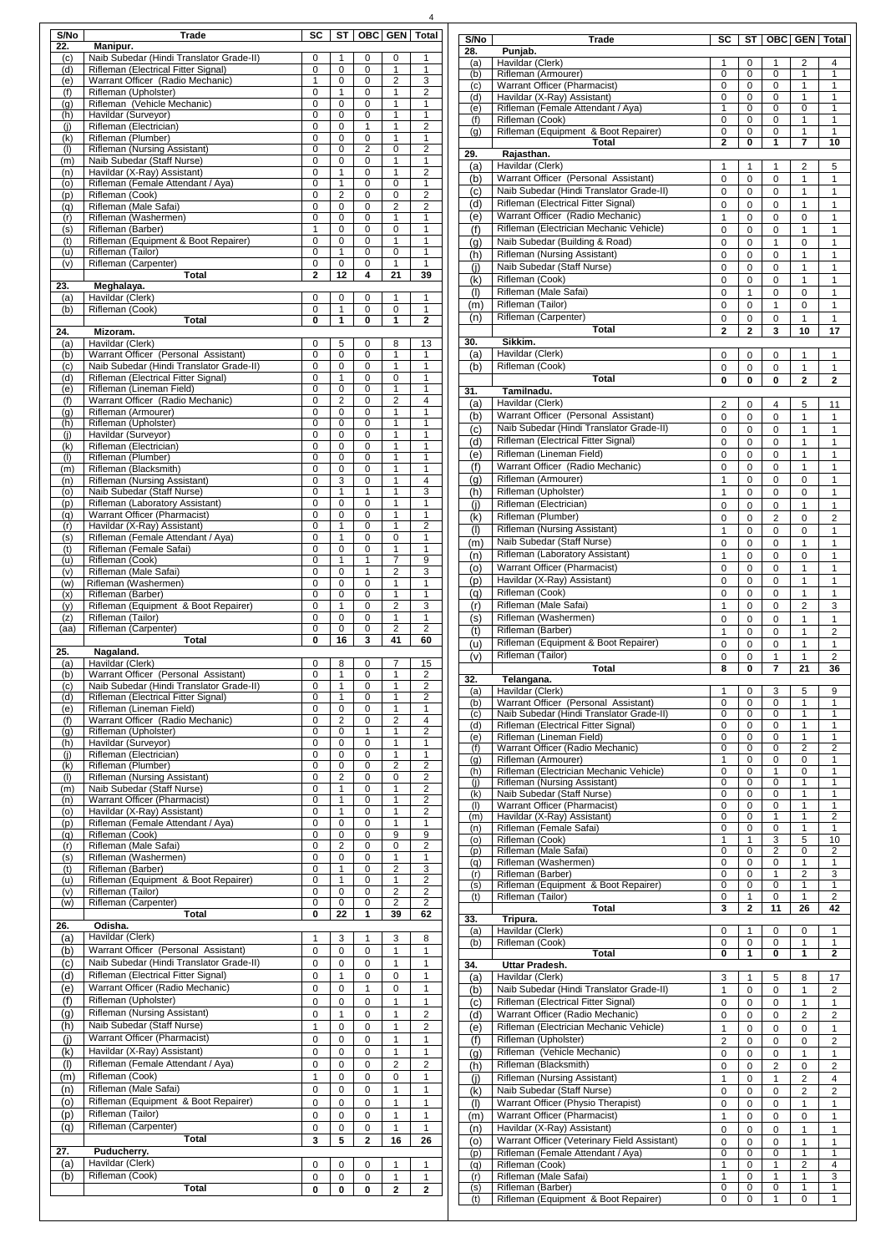| S/No<br>22.<br>(c)<br>(d)<br>(e)<br>(f)<br>(g)<br>(h)<br>(i)<br>(k)<br>(1)<br>(m)<br>(n)<br>(0)<br>(p)<br>(q)<br>(r)<br>(s)<br>(t)<br>(u)<br>(v)<br>23.<br>(a)<br>(b)<br>24.<br>(a)<br>(b)<br>(c)<br>(d)<br>(e)<br>(f)<br>(g)<br>(h)<br>(i) | <b>Trade</b><br>Manipur.<br>Naib Subedar (Hindi Translator Grade-II)<br>Rifleman (Electrical Fitter Signal)<br>Warrant Officer (Radio Mechanic)<br>Rifleman (Upholster)<br>Rifleman (Vehicle Mechanic)<br>Havildar (Surveyor)<br>Rifleman (Electrician)<br>Rifleman (Plumber)<br>Rifleman (Nursing Assistant)<br>Naib Subedar (Staff Nurse)<br>Havildar (X-Ray) Assistant)<br>Rifleman (Female Attendant / Aya)<br>Rifleman (Cook)<br>Rifleman (Male Safai)<br>Rifleman (Washermen)<br>Rifleman (Barber)<br>Rifleman (Equipment & Boot Repairer)<br>Rifleman (Tailor)<br>Rifleman (Carpenter)<br><b>Total</b><br>Meghalaya.<br>Havildar (Clerk)<br>Rifleman (Cook)<br><b>Total</b><br>Mizoram.<br>Havildar (Clerk)<br>Warrant Officer (Personal Assistant)<br>Naib Subedar (Hindi Translator Grade-II) | <b>SC</b><br>0<br>0<br>1<br>$\mathbf 0$<br>0<br>0<br>0<br>0<br>0<br>0<br>0<br>$\mathbf 0$<br>$\mathbf 0$<br>$\mathbf 0$<br>$\mathbf 0$<br>1<br>$\mathbf 0$<br>$\mathbf 0$<br>0<br>$\mathbf{2}$<br>0<br>0<br>0 | <b>ST</b><br>1<br>0<br>0<br>1<br>0<br>0<br>0<br>0<br>$\mathbf 0$<br>0<br>1<br>1<br>$\overline{2}$<br>$\mathbf 0$<br>0<br>0<br>0<br>1<br>0<br>12<br>0<br>1 | <b>OBC</b><br>0<br>$\Omega$<br>0<br>0<br>0<br>0<br>1<br>0<br>$\overline{c}$<br>0<br>0<br>0<br>0<br>0<br>0<br>0<br>0<br>$\Omega$<br>0<br>4<br>0 | <b>GEN</b><br>0<br>1<br>$\overline{2}$<br>1<br>1<br>1<br>1<br>1<br>0<br>1<br>1<br>0<br>0<br>$\overline{2}$<br>1<br>0<br>1<br>0<br>1<br>21 | <b>Total</b><br>1<br>1<br>3<br>$\overline{2}$<br>1<br>$\mathbf{1}$<br>$\overline{2}$<br>1<br>$\overline{c}$<br>1<br>$\overline{2}$<br>1<br>$\overline{2}$<br>$\overline{c}$<br>$\mathbf{1}$<br>1<br>1<br>1<br>$\mathbf{1}$<br>39 |
|---------------------------------------------------------------------------------------------------------------------------------------------------------------------------------------------------------------------------------------------|--------------------------------------------------------------------------------------------------------------------------------------------------------------------------------------------------------------------------------------------------------------------------------------------------------------------------------------------------------------------------------------------------------------------------------------------------------------------------------------------------------------------------------------------------------------------------------------------------------------------------------------------------------------------------------------------------------------------------------------------------------------------------------------------------------|---------------------------------------------------------------------------------------------------------------------------------------------------------------------------------------------------------------|-----------------------------------------------------------------------------------------------------------------------------------------------------------|------------------------------------------------------------------------------------------------------------------------------------------------|-------------------------------------------------------------------------------------------------------------------------------------------|----------------------------------------------------------------------------------------------------------------------------------------------------------------------------------------------------------------------------------|
|                                                                                                                                                                                                                                             |                                                                                                                                                                                                                                                                                                                                                                                                                                                                                                                                                                                                                                                                                                                                                                                                        |                                                                                                                                                                                                               |                                                                                                                                                           |                                                                                                                                                |                                                                                                                                           |                                                                                                                                                                                                                                  |
|                                                                                                                                                                                                                                             |                                                                                                                                                                                                                                                                                                                                                                                                                                                                                                                                                                                                                                                                                                                                                                                                        |                                                                                                                                                                                                               |                                                                                                                                                           |                                                                                                                                                |                                                                                                                                           |                                                                                                                                                                                                                                  |
|                                                                                                                                                                                                                                             |                                                                                                                                                                                                                                                                                                                                                                                                                                                                                                                                                                                                                                                                                                                                                                                                        |                                                                                                                                                                                                               |                                                                                                                                                           |                                                                                                                                                |                                                                                                                                           |                                                                                                                                                                                                                                  |
|                                                                                                                                                                                                                                             |                                                                                                                                                                                                                                                                                                                                                                                                                                                                                                                                                                                                                                                                                                                                                                                                        |                                                                                                                                                                                                               |                                                                                                                                                           |                                                                                                                                                |                                                                                                                                           |                                                                                                                                                                                                                                  |
|                                                                                                                                                                                                                                             |                                                                                                                                                                                                                                                                                                                                                                                                                                                                                                                                                                                                                                                                                                                                                                                                        |                                                                                                                                                                                                               |                                                                                                                                                           |                                                                                                                                                |                                                                                                                                           |                                                                                                                                                                                                                                  |
|                                                                                                                                                                                                                                             |                                                                                                                                                                                                                                                                                                                                                                                                                                                                                                                                                                                                                                                                                                                                                                                                        |                                                                                                                                                                                                               |                                                                                                                                                           |                                                                                                                                                |                                                                                                                                           |                                                                                                                                                                                                                                  |
|                                                                                                                                                                                                                                             |                                                                                                                                                                                                                                                                                                                                                                                                                                                                                                                                                                                                                                                                                                                                                                                                        |                                                                                                                                                                                                               |                                                                                                                                                           |                                                                                                                                                |                                                                                                                                           |                                                                                                                                                                                                                                  |
|                                                                                                                                                                                                                                             |                                                                                                                                                                                                                                                                                                                                                                                                                                                                                                                                                                                                                                                                                                                                                                                                        |                                                                                                                                                                                                               |                                                                                                                                                           |                                                                                                                                                |                                                                                                                                           |                                                                                                                                                                                                                                  |
|                                                                                                                                                                                                                                             |                                                                                                                                                                                                                                                                                                                                                                                                                                                                                                                                                                                                                                                                                                                                                                                                        |                                                                                                                                                                                                               |                                                                                                                                                           |                                                                                                                                                |                                                                                                                                           |                                                                                                                                                                                                                                  |
|                                                                                                                                                                                                                                             |                                                                                                                                                                                                                                                                                                                                                                                                                                                                                                                                                                                                                                                                                                                                                                                                        |                                                                                                                                                                                                               |                                                                                                                                                           |                                                                                                                                                |                                                                                                                                           |                                                                                                                                                                                                                                  |
|                                                                                                                                                                                                                                             |                                                                                                                                                                                                                                                                                                                                                                                                                                                                                                                                                                                                                                                                                                                                                                                                        |                                                                                                                                                                                                               |                                                                                                                                                           |                                                                                                                                                |                                                                                                                                           |                                                                                                                                                                                                                                  |
|                                                                                                                                                                                                                                             |                                                                                                                                                                                                                                                                                                                                                                                                                                                                                                                                                                                                                                                                                                                                                                                                        |                                                                                                                                                                                                               |                                                                                                                                                           |                                                                                                                                                |                                                                                                                                           |                                                                                                                                                                                                                                  |
|                                                                                                                                                                                                                                             |                                                                                                                                                                                                                                                                                                                                                                                                                                                                                                                                                                                                                                                                                                                                                                                                        |                                                                                                                                                                                                               |                                                                                                                                                           |                                                                                                                                                |                                                                                                                                           |                                                                                                                                                                                                                                  |
|                                                                                                                                                                                                                                             |                                                                                                                                                                                                                                                                                                                                                                                                                                                                                                                                                                                                                                                                                                                                                                                                        |                                                                                                                                                                                                               |                                                                                                                                                           |                                                                                                                                                |                                                                                                                                           |                                                                                                                                                                                                                                  |
|                                                                                                                                                                                                                                             |                                                                                                                                                                                                                                                                                                                                                                                                                                                                                                                                                                                                                                                                                                                                                                                                        |                                                                                                                                                                                                               |                                                                                                                                                           |                                                                                                                                                |                                                                                                                                           |                                                                                                                                                                                                                                  |
|                                                                                                                                                                                                                                             |                                                                                                                                                                                                                                                                                                                                                                                                                                                                                                                                                                                                                                                                                                                                                                                                        |                                                                                                                                                                                                               |                                                                                                                                                           |                                                                                                                                                |                                                                                                                                           |                                                                                                                                                                                                                                  |
|                                                                                                                                                                                                                                             |                                                                                                                                                                                                                                                                                                                                                                                                                                                                                                                                                                                                                                                                                                                                                                                                        |                                                                                                                                                                                                               |                                                                                                                                                           |                                                                                                                                                |                                                                                                                                           |                                                                                                                                                                                                                                  |
|                                                                                                                                                                                                                                             |                                                                                                                                                                                                                                                                                                                                                                                                                                                                                                                                                                                                                                                                                                                                                                                                        |                                                                                                                                                                                                               |                                                                                                                                                           |                                                                                                                                                |                                                                                                                                           |                                                                                                                                                                                                                                  |
|                                                                                                                                                                                                                                             |                                                                                                                                                                                                                                                                                                                                                                                                                                                                                                                                                                                                                                                                                                                                                                                                        |                                                                                                                                                                                                               |                                                                                                                                                           |                                                                                                                                                |                                                                                                                                           |                                                                                                                                                                                                                                  |
|                                                                                                                                                                                                                                             |                                                                                                                                                                                                                                                                                                                                                                                                                                                                                                                                                                                                                                                                                                                                                                                                        |                                                                                                                                                                                                               |                                                                                                                                                           |                                                                                                                                                |                                                                                                                                           |                                                                                                                                                                                                                                  |
|                                                                                                                                                                                                                                             |                                                                                                                                                                                                                                                                                                                                                                                                                                                                                                                                                                                                                                                                                                                                                                                                        |                                                                                                                                                                                                               |                                                                                                                                                           |                                                                                                                                                | 1                                                                                                                                         | 1                                                                                                                                                                                                                                |
|                                                                                                                                                                                                                                             |                                                                                                                                                                                                                                                                                                                                                                                                                                                                                                                                                                                                                                                                                                                                                                                                        |                                                                                                                                                                                                               |                                                                                                                                                           | 0                                                                                                                                              | 0                                                                                                                                         | $\mathbf{1}$                                                                                                                                                                                                                     |
|                                                                                                                                                                                                                                             |                                                                                                                                                                                                                                                                                                                                                                                                                                                                                                                                                                                                                                                                                                                                                                                                        |                                                                                                                                                                                                               | 1                                                                                                                                                         | 0                                                                                                                                              | 1                                                                                                                                         | $\mathbf{2}$                                                                                                                                                                                                                     |
|                                                                                                                                                                                                                                             |                                                                                                                                                                                                                                                                                                                                                                                                                                                                                                                                                                                                                                                                                                                                                                                                        |                                                                                                                                                                                                               |                                                                                                                                                           |                                                                                                                                                |                                                                                                                                           |                                                                                                                                                                                                                                  |
|                                                                                                                                                                                                                                             |                                                                                                                                                                                                                                                                                                                                                                                                                                                                                                                                                                                                                                                                                                                                                                                                        | 0                                                                                                                                                                                                             | 5                                                                                                                                                         | 0                                                                                                                                              | 8                                                                                                                                         | 13                                                                                                                                                                                                                               |
|                                                                                                                                                                                                                                             |                                                                                                                                                                                                                                                                                                                                                                                                                                                                                                                                                                                                                                                                                                                                                                                                        | 0                                                                                                                                                                                                             | $\mathbf 0$                                                                                                                                               | 0                                                                                                                                              | 1                                                                                                                                         | 1                                                                                                                                                                                                                                |
|                                                                                                                                                                                                                                             | Rifleman (Electrical Fitter Signal)                                                                                                                                                                                                                                                                                                                                                                                                                                                                                                                                                                                                                                                                                                                                                                    | 0<br>0                                                                                                                                                                                                        | 0<br>1                                                                                                                                                    | 0<br>0                                                                                                                                         | 1<br>0                                                                                                                                    | 1<br>1                                                                                                                                                                                                                           |
|                                                                                                                                                                                                                                             | Rifleman (Lineman Field)                                                                                                                                                                                                                                                                                                                                                                                                                                                                                                                                                                                                                                                                                                                                                                               | 0                                                                                                                                                                                                             | $\mathbf 0$                                                                                                                                               | 0                                                                                                                                              | 1                                                                                                                                         | 1                                                                                                                                                                                                                                |
|                                                                                                                                                                                                                                             | Warrant Officer (Radio Mechanic)                                                                                                                                                                                                                                                                                                                                                                                                                                                                                                                                                                                                                                                                                                                                                                       | 0                                                                                                                                                                                                             | $\overline{2}$                                                                                                                                            | 0                                                                                                                                              | $\overline{2}$                                                                                                                            | $\overline{4}$                                                                                                                                                                                                                   |
|                                                                                                                                                                                                                                             | Rifleman (Armourer)                                                                                                                                                                                                                                                                                                                                                                                                                                                                                                                                                                                                                                                                                                                                                                                    | 0                                                                                                                                                                                                             | 0                                                                                                                                                         | 0                                                                                                                                              | 1                                                                                                                                         | $\mathbf{1}$                                                                                                                                                                                                                     |
|                                                                                                                                                                                                                                             | Rifleman (Upholster)                                                                                                                                                                                                                                                                                                                                                                                                                                                                                                                                                                                                                                                                                                                                                                                   | 0                                                                                                                                                                                                             | 0                                                                                                                                                         | 0                                                                                                                                              | 1                                                                                                                                         | 1                                                                                                                                                                                                                                |
|                                                                                                                                                                                                                                             | Havildar (Surveyor)                                                                                                                                                                                                                                                                                                                                                                                                                                                                                                                                                                                                                                                                                                                                                                                    | 0                                                                                                                                                                                                             | 0                                                                                                                                                         | 0                                                                                                                                              | 1                                                                                                                                         | 1                                                                                                                                                                                                                                |
| (k)                                                                                                                                                                                                                                         | Rifleman (Electrician)                                                                                                                                                                                                                                                                                                                                                                                                                                                                                                                                                                                                                                                                                                                                                                                 | $\mathbf 0$                                                                                                                                                                                                   | $\mathbf 0$                                                                                                                                               | 0                                                                                                                                              | 1                                                                                                                                         | 1                                                                                                                                                                                                                                |
| (1)                                                                                                                                                                                                                                         | Rifleman (Plumber)                                                                                                                                                                                                                                                                                                                                                                                                                                                                                                                                                                                                                                                                                                                                                                                     | 0                                                                                                                                                                                                             | 0                                                                                                                                                         | 0                                                                                                                                              | 1                                                                                                                                         | 1                                                                                                                                                                                                                                |
| (m)                                                                                                                                                                                                                                         | Rifleman (Blacksmith)                                                                                                                                                                                                                                                                                                                                                                                                                                                                                                                                                                                                                                                                                                                                                                                  | 0                                                                                                                                                                                                             | 0                                                                                                                                                         | 0                                                                                                                                              | 1                                                                                                                                         | 1                                                                                                                                                                                                                                |
| (n)                                                                                                                                                                                                                                         | <b>Rifleman (Nursing Assistant)</b>                                                                                                                                                                                                                                                                                                                                                                                                                                                                                                                                                                                                                                                                                                                                                                    | $\overline{0}$                                                                                                                                                                                                | 3                                                                                                                                                         | $\mathbf 0$                                                                                                                                    | 1                                                                                                                                         | $\overline{4}$                                                                                                                                                                                                                   |
| (o)                                                                                                                                                                                                                                         | Naib Subedar (Staff Nurse)                                                                                                                                                                                                                                                                                                                                                                                                                                                                                                                                                                                                                                                                                                                                                                             | 0                                                                                                                                                                                                             | 1                                                                                                                                                         | 1                                                                                                                                              | 1<br>1                                                                                                                                    | 3<br>1                                                                                                                                                                                                                           |
| (p)<br>(q)                                                                                                                                                                                                                                  | Rifleman (Laboratory Assistant)<br>Warrant Officer (Pharmacist)                                                                                                                                                                                                                                                                                                                                                                                                                                                                                                                                                                                                                                                                                                                                        | 0<br>0                                                                                                                                                                                                        | 0<br>0                                                                                                                                                    | $\Omega$<br>0                                                                                                                                  | 1                                                                                                                                         | $\mathbf{1}$                                                                                                                                                                                                                     |
| (r)                                                                                                                                                                                                                                         | Havildar (X-Ray) Assistant)                                                                                                                                                                                                                                                                                                                                                                                                                                                                                                                                                                                                                                                                                                                                                                            | 0                                                                                                                                                                                                             | 1                                                                                                                                                         | 0                                                                                                                                              | 1                                                                                                                                         | $\overline{c}$                                                                                                                                                                                                                   |
| (s)                                                                                                                                                                                                                                         | Rifleman (Female Attendant / Aya)                                                                                                                                                                                                                                                                                                                                                                                                                                                                                                                                                                                                                                                                                                                                                                      | 0                                                                                                                                                                                                             | 1                                                                                                                                                         | 0                                                                                                                                              | 0                                                                                                                                         | $\mathbf{1}$                                                                                                                                                                                                                     |
| (t)                                                                                                                                                                                                                                         | Rifleman (Female Safai)                                                                                                                                                                                                                                                                                                                                                                                                                                                                                                                                                                                                                                                                                                                                                                                | $\overline{0}$                                                                                                                                                                                                | 0                                                                                                                                                         | 0                                                                                                                                              | 1                                                                                                                                         | 1                                                                                                                                                                                                                                |
| (u)                                                                                                                                                                                                                                         | Rifleman (Cook)                                                                                                                                                                                                                                                                                                                                                                                                                                                                                                                                                                                                                                                                                                                                                                                        | 0                                                                                                                                                                                                             | 1                                                                                                                                                         | 1                                                                                                                                              | $\overline{7}$                                                                                                                            | 9                                                                                                                                                                                                                                |
| (v)                                                                                                                                                                                                                                         | Rifleman (Male Safai)                                                                                                                                                                                                                                                                                                                                                                                                                                                                                                                                                                                                                                                                                                                                                                                  | $\mathbf 0$                                                                                                                                                                                                   | $\mathbf 0$                                                                                                                                               | 1                                                                                                                                              | $\overline{2}$                                                                                                                            | 3                                                                                                                                                                                                                                |
| (w)                                                                                                                                                                                                                                         | Rifleman (Washermen)                                                                                                                                                                                                                                                                                                                                                                                                                                                                                                                                                                                                                                                                                                                                                                                   | 0                                                                                                                                                                                                             | 0                                                                                                                                                         | 0                                                                                                                                              | 1                                                                                                                                         | $\mathbf{1}$                                                                                                                                                                                                                     |
| (x)                                                                                                                                                                                                                                         | Rifleman (Barber)                                                                                                                                                                                                                                                                                                                                                                                                                                                                                                                                                                                                                                                                                                                                                                                      | 0                                                                                                                                                                                                             | 0                                                                                                                                                         | 0                                                                                                                                              | 1                                                                                                                                         | 1                                                                                                                                                                                                                                |
| (y)                                                                                                                                                                                                                                         | Rifleman (Equipment & Boot Repairer)                                                                                                                                                                                                                                                                                                                                                                                                                                                                                                                                                                                                                                                                                                                                                                   | 0                                                                                                                                                                                                             | 1                                                                                                                                                         | 0                                                                                                                                              | $\overline{2}$                                                                                                                            | 3<br>$\mathbf{1}$                                                                                                                                                                                                                |
| (z)<br>(aa)                                                                                                                                                                                                                                 | Rifleman (Tailor)<br>Rifleman (Carpenter)                                                                                                                                                                                                                                                                                                                                                                                                                                                                                                                                                                                                                                                                                                                                                              | 0<br>0                                                                                                                                                                                                        | 0<br>0                                                                                                                                                    | 0<br>0                                                                                                                                         | 1<br>$\overline{c}$                                                                                                                       | $\overline{2}$                                                                                                                                                                                                                   |
|                                                                                                                                                                                                                                             | <b>Total</b>                                                                                                                                                                                                                                                                                                                                                                                                                                                                                                                                                                                                                                                                                                                                                                                           | $\mathbf{0}$                                                                                                                                                                                                  | 16                                                                                                                                                        | $\overline{\mathbf{3}}$                                                                                                                        | 41                                                                                                                                        | 60                                                                                                                                                                                                                               |
| 25.                                                                                                                                                                                                                                         | Nagaland.                                                                                                                                                                                                                                                                                                                                                                                                                                                                                                                                                                                                                                                                                                                                                                                              |                                                                                                                                                                                                               |                                                                                                                                                           |                                                                                                                                                |                                                                                                                                           |                                                                                                                                                                                                                                  |
| (a)                                                                                                                                                                                                                                         | Havildar (Clerk)                                                                                                                                                                                                                                                                                                                                                                                                                                                                                                                                                                                                                                                                                                                                                                                       | 0                                                                                                                                                                                                             | 8                                                                                                                                                         | 0                                                                                                                                              | 7                                                                                                                                         | 15                                                                                                                                                                                                                               |
| (b)                                                                                                                                                                                                                                         | Warrant Officer (Personal Assistant)                                                                                                                                                                                                                                                                                                                                                                                                                                                                                                                                                                                                                                                                                                                                                                   | 0                                                                                                                                                                                                             | 1                                                                                                                                                         | $\Omega$                                                                                                                                       | 1                                                                                                                                         | $\overline{c}$                                                                                                                                                                                                                   |
| (c)                                                                                                                                                                                                                                         | Naib Subedar (Hindi Translator Grade-II)                                                                                                                                                                                                                                                                                                                                                                                                                                                                                                                                                                                                                                                                                                                                                               | 0                                                                                                                                                                                                             | 1                                                                                                                                                         | 0                                                                                                                                              | 1                                                                                                                                         | $\overline{c}$                                                                                                                                                                                                                   |
| (d)                                                                                                                                                                                                                                         | Rifleman (Electrical Fitter Signal)                                                                                                                                                                                                                                                                                                                                                                                                                                                                                                                                                                                                                                                                                                                                                                    | 0                                                                                                                                                                                                             | 1                                                                                                                                                         | 0                                                                                                                                              | 1                                                                                                                                         | $\overline{c}$                                                                                                                                                                                                                   |
| (e)<br>$\overline{f}$                                                                                                                                                                                                                       | Rifleman (Lineman Field)<br>Warrant Officer (Radio Mechanic)                                                                                                                                                                                                                                                                                                                                                                                                                                                                                                                                                                                                                                                                                                                                           | 0<br>0                                                                                                                                                                                                        | 0<br>$\overline{c}$                                                                                                                                       | 0<br>0                                                                                                                                         | 1<br>$\overline{c}$                                                                                                                       | 1<br>4                                                                                                                                                                                                                           |
| (g)                                                                                                                                                                                                                                         | Rifleman (Upholster)                                                                                                                                                                                                                                                                                                                                                                                                                                                                                                                                                                                                                                                                                                                                                                                   | 0                                                                                                                                                                                                             | 0                                                                                                                                                         | $\mathbf{1}$                                                                                                                                   | 1                                                                                                                                         | $\overline{2}$                                                                                                                                                                                                                   |
| (h)                                                                                                                                                                                                                                         | Havildar (Surveyor)                                                                                                                                                                                                                                                                                                                                                                                                                                                                                                                                                                                                                                                                                                                                                                                    | $\mathbf 0$                                                                                                                                                                                                   | 0                                                                                                                                                         | 0                                                                                                                                              | 1                                                                                                                                         | $\mathbf{1}$                                                                                                                                                                                                                     |
| (i)                                                                                                                                                                                                                                         | Rifleman (Electrician)                                                                                                                                                                                                                                                                                                                                                                                                                                                                                                                                                                                                                                                                                                                                                                                 | 0                                                                                                                                                                                                             | 0                                                                                                                                                         | 0                                                                                                                                              | 1                                                                                                                                         | $\mathbf{1}$                                                                                                                                                                                                                     |
| (k)                                                                                                                                                                                                                                         | Rifleman (Plumber)                                                                                                                                                                                                                                                                                                                                                                                                                                                                                                                                                                                                                                                                                                                                                                                     | 0                                                                                                                                                                                                             | 0                                                                                                                                                         | 0                                                                                                                                              | $\overline{c}$                                                                                                                            | $\overline{c}$                                                                                                                                                                                                                   |
| (1)                                                                                                                                                                                                                                         | Rifleman (Nursing Assistant)                                                                                                                                                                                                                                                                                                                                                                                                                                                                                                                                                                                                                                                                                                                                                                           | 0                                                                                                                                                                                                             | $\overline{c}$                                                                                                                                            | 0                                                                                                                                              | 0                                                                                                                                         | $\overline{c}$                                                                                                                                                                                                                   |
| (m)                                                                                                                                                                                                                                         | Naib Subedar (Staff Nurse)                                                                                                                                                                                                                                                                                                                                                                                                                                                                                                                                                                                                                                                                                                                                                                             | $\mathbf 0$                                                                                                                                                                                                   | 1                                                                                                                                                         | 0                                                                                                                                              | 1                                                                                                                                         | $\overline{2}$                                                                                                                                                                                                                   |
| (n)                                                                                                                                                                                                                                         | Warrant Officer (Pharmacist)                                                                                                                                                                                                                                                                                                                                                                                                                                                                                                                                                                                                                                                                                                                                                                           | 0                                                                                                                                                                                                             | 1                                                                                                                                                         | 0                                                                                                                                              | 1                                                                                                                                         | $\overline{2}$                                                                                                                                                                                                                   |
| (o)                                                                                                                                                                                                                                         | Havildar (X-Ray) Assistant)                                                                                                                                                                                                                                                                                                                                                                                                                                                                                                                                                                                                                                                                                                                                                                            | $\mathbf 0$                                                                                                                                                                                                   | $\overline{1}$                                                                                                                                            | 0                                                                                                                                              | 1                                                                                                                                         | $\overline{2}$                                                                                                                                                                                                                   |
| (p)                                                                                                                                                                                                                                         | Rifleman (Female Attendant / Aya)                                                                                                                                                                                                                                                                                                                                                                                                                                                                                                                                                                                                                                                                                                                                                                      | 0                                                                                                                                                                                                             | 0                                                                                                                                                         | 0                                                                                                                                              | 1                                                                                                                                         | $\mathbf{1}$                                                                                                                                                                                                                     |
| (q)<br>(r)                                                                                                                                                                                                                                  | Rifleman (Cook)<br>Rifleman (Male Safai)                                                                                                                                                                                                                                                                                                                                                                                                                                                                                                                                                                                                                                                                                                                                                               | 0<br>0                                                                                                                                                                                                        | 0<br>$\overline{2}$                                                                                                                                       | 0<br>0                                                                                                                                         | 9<br>0                                                                                                                                    | 9<br>$\overline{2}$                                                                                                                                                                                                              |
| (s)                                                                                                                                                                                                                                         | Rifleman (Washermen)                                                                                                                                                                                                                                                                                                                                                                                                                                                                                                                                                                                                                                                                                                                                                                                   | 0                                                                                                                                                                                                             | 0                                                                                                                                                         | 0                                                                                                                                              | 1                                                                                                                                         | $\mathbf{1}$                                                                                                                                                                                                                     |
| (t)                                                                                                                                                                                                                                         | Rifleman (Barber)                                                                                                                                                                                                                                                                                                                                                                                                                                                                                                                                                                                                                                                                                                                                                                                      | $\mathbf 0$                                                                                                                                                                                                   | $\mathbf 1$                                                                                                                                               | 0                                                                                                                                              | $\overline{c}$                                                                                                                            | 3                                                                                                                                                                                                                                |
| (u)                                                                                                                                                                                                                                         | Rifleman (Equipment & Boot Repairer)                                                                                                                                                                                                                                                                                                                                                                                                                                                                                                                                                                                                                                                                                                                                                                   | 0                                                                                                                                                                                                             | 1                                                                                                                                                         | 0                                                                                                                                              | 1                                                                                                                                         | $\overline{c}$                                                                                                                                                                                                                   |
| (v)                                                                                                                                                                                                                                         | Rifleman (Tailor)                                                                                                                                                                                                                                                                                                                                                                                                                                                                                                                                                                                                                                                                                                                                                                                      | 0                                                                                                                                                                                                             | $\mathbf 0$                                                                                                                                               | 0                                                                                                                                              | $\overline{c}$                                                                                                                            | $\overline{c}$                                                                                                                                                                                                                   |
| (w)                                                                                                                                                                                                                                         | Rifleman (Carpenter)                                                                                                                                                                                                                                                                                                                                                                                                                                                                                                                                                                                                                                                                                                                                                                                   | 0                                                                                                                                                                                                             | 0                                                                                                                                                         | 0                                                                                                                                              | $\overline{c}$                                                                                                                            | $\overline{2}$                                                                                                                                                                                                                   |
| 26.                                                                                                                                                                                                                                         | <b>Total</b><br>Odisha.                                                                                                                                                                                                                                                                                                                                                                                                                                                                                                                                                                                                                                                                                                                                                                                | $\bf{0}$                                                                                                                                                                                                      | 22                                                                                                                                                        | 1                                                                                                                                              | 39                                                                                                                                        | 62                                                                                                                                                                                                                               |
|                                                                                                                                                                                                                                             | Havildar (Clerk)                                                                                                                                                                                                                                                                                                                                                                                                                                                                                                                                                                                                                                                                                                                                                                                       | 1                                                                                                                                                                                                             |                                                                                                                                                           | 1                                                                                                                                              |                                                                                                                                           |                                                                                                                                                                                                                                  |
| (a)<br>(b)                                                                                                                                                                                                                                  | Warrant Officer (Personal Assistant)                                                                                                                                                                                                                                                                                                                                                                                                                                                                                                                                                                                                                                                                                                                                                                   | 0                                                                                                                                                                                                             | 3<br>0                                                                                                                                                    | 0                                                                                                                                              | 3<br>$\mathbf{1}$                                                                                                                         | 8<br>$\mathbf{1}$                                                                                                                                                                                                                |
| (c)                                                                                                                                                                                                                                         | Naib Subedar (Hindi Translator Grade-II)                                                                                                                                                                                                                                                                                                                                                                                                                                                                                                                                                                                                                                                                                                                                                               | 0                                                                                                                                                                                                             | 0                                                                                                                                                         | 0                                                                                                                                              | 1                                                                                                                                         | 1                                                                                                                                                                                                                                |
| (d)                                                                                                                                                                                                                                         | Rifleman (Electrical Fitter Signal)                                                                                                                                                                                                                                                                                                                                                                                                                                                                                                                                                                                                                                                                                                                                                                    | 0                                                                                                                                                                                                             | $\mathbf{1}$                                                                                                                                              | 0                                                                                                                                              | 0                                                                                                                                         | 1                                                                                                                                                                                                                                |
| (e)                                                                                                                                                                                                                                         | Warrant Officer (Radio Mechanic)                                                                                                                                                                                                                                                                                                                                                                                                                                                                                                                                                                                                                                                                                                                                                                       | $\pmb{0}$                                                                                                                                                                                                     | 0                                                                                                                                                         | 1                                                                                                                                              | 0                                                                                                                                         | 1                                                                                                                                                                                                                                |
| (f)                                                                                                                                                                                                                                         | Rifleman (Upholster)                                                                                                                                                                                                                                                                                                                                                                                                                                                                                                                                                                                                                                                                                                                                                                                   | $\pmb{0}$                                                                                                                                                                                                     | 0                                                                                                                                                         | 0                                                                                                                                              | 1                                                                                                                                         | 1                                                                                                                                                                                                                                |
| (g)                                                                                                                                                                                                                                         | <b>Rifleman (Nursing Assistant)</b>                                                                                                                                                                                                                                                                                                                                                                                                                                                                                                                                                                                                                                                                                                                                                                    | $\pmb{0}$                                                                                                                                                                                                     | 1                                                                                                                                                         | 0                                                                                                                                              | 1                                                                                                                                         | $\overline{c}$                                                                                                                                                                                                                   |
| (h)                                                                                                                                                                                                                                         | Naib Subedar (Staff Nurse)                                                                                                                                                                                                                                                                                                                                                                                                                                                                                                                                                                                                                                                                                                                                                                             | 1                                                                                                                                                                                                             | 0                                                                                                                                                         | 0                                                                                                                                              | 1                                                                                                                                         | 2                                                                                                                                                                                                                                |
| (i)                                                                                                                                                                                                                                         | Warrant Officer (Pharmacist)                                                                                                                                                                                                                                                                                                                                                                                                                                                                                                                                                                                                                                                                                                                                                                           | $\pmb{0}$                                                                                                                                                                                                     | 0                                                                                                                                                         | 0                                                                                                                                              | 1                                                                                                                                         | 1                                                                                                                                                                                                                                |
| (k)                                                                                                                                                                                                                                         | Havildar (X-Ray) Assistant)                                                                                                                                                                                                                                                                                                                                                                                                                                                                                                                                                                                                                                                                                                                                                                            | $\pmb{0}$                                                                                                                                                                                                     | 0                                                                                                                                                         | 0                                                                                                                                              | 1                                                                                                                                         | $\mathbf{1}$                                                                                                                                                                                                                     |
| (1)                                                                                                                                                                                                                                         | Rifleman (Female Attendant / Aya)                                                                                                                                                                                                                                                                                                                                                                                                                                                                                                                                                                                                                                                                                                                                                                      | $\pmb{0}$                                                                                                                                                                                                     | 0                                                                                                                                                         | 0                                                                                                                                              | $\overline{\mathbf{c}}$                                                                                                                   | 2                                                                                                                                                                                                                                |
| (m)                                                                                                                                                                                                                                         | Rifleman (Cook)                                                                                                                                                                                                                                                                                                                                                                                                                                                                                                                                                                                                                                                                                                                                                                                        | 1                                                                                                                                                                                                             | 0                                                                                                                                                         | 0                                                                                                                                              | 0                                                                                                                                         | 1                                                                                                                                                                                                                                |
| (n)                                                                                                                                                                                                                                         | Rifleman (Male Safai)                                                                                                                                                                                                                                                                                                                                                                                                                                                                                                                                                                                                                                                                                                                                                                                  | $\pmb{0}$                                                                                                                                                                                                     | 0                                                                                                                                                         | 0                                                                                                                                              | 1                                                                                                                                         | $\mathbf{1}$                                                                                                                                                                                                                     |
|                                                                                                                                                                                                                                             | Rifleman (Equipment & Boot Repairer)                                                                                                                                                                                                                                                                                                                                                                                                                                                                                                                                                                                                                                                                                                                                                                   |                                                                                                                                                                                                               |                                                                                                                                                           |                                                                                                                                                |                                                                                                                                           |                                                                                                                                                                                                                                  |
| (o)                                                                                                                                                                                                                                         | Rifleman (Tailor)                                                                                                                                                                                                                                                                                                                                                                                                                                                                                                                                                                                                                                                                                                                                                                                      | $\pmb{0}$                                                                                                                                                                                                     | 0                                                                                                                                                         | 0                                                                                                                                              | 1                                                                                                                                         | 1                                                                                                                                                                                                                                |
| (p)                                                                                                                                                                                                                                         | Rifleman (Carpenter)                                                                                                                                                                                                                                                                                                                                                                                                                                                                                                                                                                                                                                                                                                                                                                                   | $\pmb{0}$                                                                                                                                                                                                     | 0                                                                                                                                                         | 0                                                                                                                                              | 1                                                                                                                                         | 1                                                                                                                                                                                                                                |
| (q)                                                                                                                                                                                                                                         | <b>Total</b>                                                                                                                                                                                                                                                                                                                                                                                                                                                                                                                                                                                                                                                                                                                                                                                           | 0                                                                                                                                                                                                             | 0                                                                                                                                                         | 0                                                                                                                                              | 1                                                                                                                                         | $\mathbf{1}$                                                                                                                                                                                                                     |
| 27.                                                                                                                                                                                                                                         |                                                                                                                                                                                                                                                                                                                                                                                                                                                                                                                                                                                                                                                                                                                                                                                                        | 3                                                                                                                                                                                                             | 5                                                                                                                                                         | $\mathbf{2}$                                                                                                                                   | 16                                                                                                                                        | 26                                                                                                                                                                                                                               |
|                                                                                                                                                                                                                                             | Puducherry.<br>Havildar (Clerk)                                                                                                                                                                                                                                                                                                                                                                                                                                                                                                                                                                                                                                                                                                                                                                        |                                                                                                                                                                                                               |                                                                                                                                                           |                                                                                                                                                |                                                                                                                                           |                                                                                                                                                                                                                                  |
| (a)<br>(b)                                                                                                                                                                                                                                  | Rifleman (Cook)                                                                                                                                                                                                                                                                                                                                                                                                                                                                                                                                                                                                                                                                                                                                                                                        | 0                                                                                                                                                                                                             | 0                                                                                                                                                         | 0                                                                                                                                              | 1                                                                                                                                         | 1<br>1                                                                                                                                                                                                                           |
|                                                                                                                                                                                                                                             | <b>Total</b>                                                                                                                                                                                                                                                                                                                                                                                                                                                                                                                                                                                                                                                                                                                                                                                           | 0                                                                                                                                                                                                             | 0                                                                                                                                                         | 0                                                                                                                                              | 1<br>$\mathbf 2$                                                                                                                          | $\mathbf{2}$                                                                                                                                                                                                                     |
|                                                                                                                                                                                                                                             |                                                                                                                                                                                                                                                                                                                                                                                                                                                                                                                                                                                                                                                                                                                                                                                                        | 0                                                                                                                                                                                                             | 0                                                                                                                                                         | 0                                                                                                                                              |                                                                                                                                           |                                                                                                                                                                                                                                  |

| S/No           | <b>Trade</b>                                                                    | SC                  | ST                |                     |                     | OBC GEN Total                |
|----------------|---------------------------------------------------------------------------------|---------------------|-------------------|---------------------|---------------------|------------------------------|
| 28.<br>(a)     | Punjab.<br>Havildar (Clerk)                                                     | 1                   | 0                 | 1                   | 2                   | 4                            |
| (b)            | Rifleman (Armourer)                                                             | 0                   | 0                 | 0                   | 1                   | 1                            |
| (c)            | Warrant Officer (Pharmacist)                                                    | 0                   | 0                 | 0                   | 1                   | 1                            |
| (d)            | Havildar (X-Ray) Assistant)<br>Rifleman (Female Attendant / Aya)                | 0<br>1              | 0<br>0            | 0<br>0              | 1<br>0              | 1<br>1                       |
| (e)<br>(f)     | Rifleman (Cook)                                                                 | 0                   | 0                 | 0                   | 1                   | 1                            |
| $\mathsf{(q)}$ | Rifleman (Equipment & Boot Repairer)                                            | 0                   | 0                 | 0                   | 1                   | 1                            |
| 29.            | Total<br>Rajasthan.                                                             | $\overline{2}$      | 0                 | 1                   | 7                   | 10                           |
| (a)            | Havildar (Clerk)                                                                | 1                   | 1                 | 1                   | 2                   | 5                            |
| (b)            | Warrant Officer (Personal Assistant)                                            | 0                   | 0                 | 0                   | 1                   | 1                            |
| (c)            | Naib Subedar (Hindi Translator Grade-II)                                        | 0                   | 0                 | 0                   | 1                   | 1                            |
| (d)            | Rifleman (Electrical Fitter Signal)                                             | 0                   | 0                 | 0                   | 1                   | 1                            |
| (e)<br>(f)     | Warrant Officer (Radio Mechanic)<br>Rifleman (Electrician Mechanic Vehicle)     | 1<br>0              | 0<br>0            | 0<br>0              | 0<br>1              | 1<br>1                       |
| (g)            | Naib Subedar (Building & Road)                                                  | 0                   | 0                 | 1                   | 0                   | 1                            |
| (h)            | <b>Rifleman (Nursing Assistant)</b>                                             | 0                   | 0                 | 0                   | 1                   | 1                            |
| (i)            | Naib Subedar (Staff Nurse)                                                      | 0                   | 0                 | 0                   | 1                   | 1                            |
| (k)            | Rifleman (Cook)                                                                 | 0                   | 0                 | 0                   | 1                   | 1                            |
| (1)            | Rifleman (Male Safai)<br>Rifleman (Tailor)                                      | 0                   | 1                 | 0                   | 0                   | 1                            |
| (m)<br>(n)     | Rifleman (Carpenter)                                                            | 0<br>0              | 0<br>0            | 1<br>0              | 0<br>1              | 1<br>1                       |
|                | <b>Total</b>                                                                    | $\overline{2}$      | 2                 | 3                   | 10                  | 17                           |
| 30.            | Sikkim.                                                                         |                     |                   |                     |                     |                              |
| (a)<br>(b)     | Havildar (Clerk)<br>Rifleman (Cook)                                             | 0                   | 0                 | 0                   | 1                   | 1                            |
|                | <b>Total</b>                                                                    | 0<br>0              | 0<br>0            | 0<br>0              | 1<br>2              | 1<br>$\mathbf 2$             |
| 31.            | Tamilnadu.                                                                      |                     |                   |                     |                     |                              |
| (a)            | Havildar (Clerk)                                                                | 2                   | 0                 | 4                   | 5                   | 11                           |
| (b)            | Warrant Officer (Personal Assistant)                                            | 0                   | 0                 | 0                   | 1                   | 1                            |
| (c)            | Naib Subedar (Hindi Translator Grade-II)<br>Rifleman (Electrical Fitter Signal) | 0                   | 0                 | 0                   | 1                   | 1                            |
| (d)<br>(e)     | Rifleman (Lineman Field)                                                        | 0<br>0              | 0<br>0            | 0<br>0              | 1<br>1              | 1<br>1                       |
| (f)            | Warrant Officer (Radio Mechanic)                                                | 0                   | 0                 | 0                   | 1                   | 1                            |
| (g)            | Rifleman (Armourer)                                                             | 1                   | 0                 | 0                   | 0                   | 1                            |
| (h)            | Rifleman (Upholster)                                                            | 1                   | $\mathbf 0$       | 0                   | $\mathbf 0$         | $\mathbf{1}$                 |
| (i)            | Rifleman (Electrician)                                                          | 0                   | 0                 | 0                   | 1                   | 1                            |
| (k)            | Rifleman (Plumber)<br>Rifleman (Nursing Assistant)                              | 0                   | 0                 | $\overline{c}$      | 0                   | 2                            |
| (1)<br>(m)     | Naib Subedar (Staff Nurse)                                                      | 1<br>0              | 0<br>0            | 0<br>0              | 0<br>1              | 1<br>1                       |
| (n)            | Rifleman (Laboratory Assistant)                                                 | 1                   | 0                 | 0                   | $\mathbf 0$         | 1                            |
| (o)            | Warrant Officer (Pharmacist)                                                    | 0                   | 0                 | 0                   | 1                   | 1                            |
| (p)            | Havildar (X-Ray) Assistant)                                                     | 0                   | 0                 | 0                   | 1                   | 1                            |
| (q)            | Rifleman (Cook)                                                                 | 0                   | 0                 | 0                   | 1                   | 1                            |
| (r)            | Rifleman (Male Safai)                                                           | 1                   | 0                 | 0                   | $\overline{c}$      | 3                            |
| (s)<br>(t)     | Rifleman (Washermen)<br>Rifleman (Barber)                                       | 0<br>1              | 0                 | 0<br>0              | 1<br>1              | 1                            |
| (u)            | Rifleman (Equipment & Boot Repairer)                                            | 0                   | 0<br>0            | 0                   | 1                   | 2<br>$\mathbf{1}$            |
| (v)            | Rifleman (Tailor)                                                               | 0                   | 0                 | 1                   | 1                   | $\overline{2}$               |
|                | <b>Total</b>                                                                    | 8                   | 0                 | 7                   | 21                  | 36                           |
| 32.<br>(a)     | Telangana.<br>Havildar (Clerk)                                                  | 1                   | 0                 | 3                   | 5                   | 9                            |
| (b)            | Warrant Officer (Personal Assistant)                                            | 0                   | 0                 | 0                   | 1                   | 1                            |
| (c)            | Naib Subedar (Hindi Translator Grade-II)                                        | 0                   | 0                 | 0                   | 1                   | 1                            |
| (d)<br>(e)     | Rifleman (Electrical Fitter Signal)<br>Rifleman (Lineman Field)                 | 0<br>0              | 0<br>0            | 0<br>0              | 1<br>1              | 1<br>$\mathbf{1}$            |
| (f)            | Warrant Officer (Radio Mechanic)                                                | $\mathbf 0$         | 0                 | 0                   | $\overline{c}$      | $\overline{c}$               |
| (g)            | Rifleman (Armourer)                                                             | 1                   | 0                 | 0                   | 0                   | 1                            |
| (h)            | Rifleman (Electrician Mechanic Vehicle)                                         | 0                   | 0                 | 1                   | 0                   | 1                            |
| (i)<br>(k)     | Rifleman (Nursing Assistant)<br>Naib Subedar (Staff Nurse)                      | 0<br>0              | 0<br>0            | 0<br>0              | 1<br>1              | 1<br>1                       |
| (1)            | Warrant Officer (Pharmacist)                                                    | 0                   | $\mathbf 0$       | 0                   | 1                   | $\mathbf 1$                  |
| (m)            | Havildar (X-Ray) Assistant)                                                     | 0                   | 0                 | $\mathbf{1}$        | $\overline{1}$      | $\overline{2}$               |
| (n)<br>(0)     | Rifleman (Female Safai)<br>Rifleman (Cook)                                      | 0<br>1              | 0<br>$\mathbf{1}$ | 0<br>3              | 1<br>5              | 1<br>10                      |
| (p)            | Rifleman (Male Safai)                                                           | 0                   | 0                 | $\overline{2}$      | 0                   | 2                            |
| (q)            | Rifleman (Washermen)                                                            | 0                   | 0                 | 0                   | 1                   | $\mathbf{1}$                 |
| (r)<br>(s)     | Rifleman (Barber)<br>Rifleman (Equipment & Boot Repairer)                       | 0<br>0              | 0<br>0            | $\mathbf{1}$<br>0   | $\overline{c}$<br>1 | 3<br>1                       |
| (t)            | Rifleman (Tailor)                                                               | 0                   | 1                 | 0                   | 1                   | $\overline{c}$               |
|                | <b>Total</b>                                                                    | 3                   | $\overline{2}$    | 11                  | 26                  | 42                           |
| 33.<br>(a)     | Tripura.<br>Havildar (Clerk)                                                    | 0                   | 1                 | 0                   | 0                   | 1                            |
| (b)            | Rifleman (Cook)                                                                 | 0                   | 0                 | 0                   | 1                   | 1                            |
| 34.            | <b>Total</b><br><b>Uttar Pradesh.</b>                                           | 0                   | 1                 | 0                   | 1                   | 2                            |
| (a)            | Havildar (Clerk)                                                                | 3                   | 1                 | 5                   | 8                   | 17                           |
| (b)            | Naib Subedar (Hindi Translator Grade-II)                                        | 1                   | 0                 | 0                   | 1                   | $\overline{c}$               |
| (c)            | Rifleman (Electrical Fitter Signal)                                             | 0                   | 0                 | 0                   | 1                   | $\mathbf{1}$                 |
| (d)            | Warrant Officer (Radio Mechanic)                                                | 0                   | 0                 | 0                   | $\overline{2}$      | $\overline{c}$               |
| (e)            | Rifleman (Electrician Mechanic Vehicle)                                         | $\mathbf{1}$        | 0                 | 0                   | $\mathbf 0$         | 1                            |
| (f)            | Rifleman (Upholster)<br>Rifleman (Vehicle Mechanic)                             | $\overline{2}$<br>0 | 0                 | 0                   | 0<br>1              | $\overline{c}$<br>1          |
| (g)<br>(h)     | Rifleman (Blacksmith)                                                           | 0                   | 0<br>0            | 0<br>$\overline{2}$ | 0                   | $\overline{c}$               |
| (i)            | Rifleman (Nursing Assistant)                                                    | 1                   | 0                 | 1                   | $\overline{2}$      | 4                            |
| (k)            | Naib Subedar (Staff Nurse)                                                      | 0                   | 0                 | 0                   | $\overline{2}$      | $\overline{c}$               |
| (1)            | Warrant Officer (Physio Therapist)                                              | 0                   | 0                 | 0                   | 1                   | $\mathbf{1}$                 |
| (m)            | Warrant Officer (Pharmacist)                                                    | 1                   | 0                 | 0                   | $\mathbf 0$         | $\mathbf{1}$                 |
| (n)            | Havildar (X-Ray) Assistant)<br>Warrant Officer (Veterinary Field Assistant)     | 0                   | 0                 | 0                   | 1                   | $\mathbf{1}$                 |
| (o)<br>(p)     | Rifleman (Female Attendant / Aya)                                               | 0<br>0              | 0<br>0            | 0<br>0              | 1<br>1              | $\mathbf{1}$<br>$\mathbf{1}$ |
| (q)            | Rifleman (Cook)                                                                 | 1                   | $\pmb{0}$         | 1                   | $\overline{c}$      | 4                            |
| (r)            | Rifleman (Male Safai)                                                           | 1                   | 0                 | 1                   | 1                   | 3                            |
| (s)<br>(t)     | Rifleman (Barber)<br>Rifleman (Equipment & Boot Repairer)                       | 0<br>0              | 0<br>0            | 0<br>1              | 1<br>0              | 1<br>1                       |
|                |                                                                                 |                     |                   |                     |                     |                              |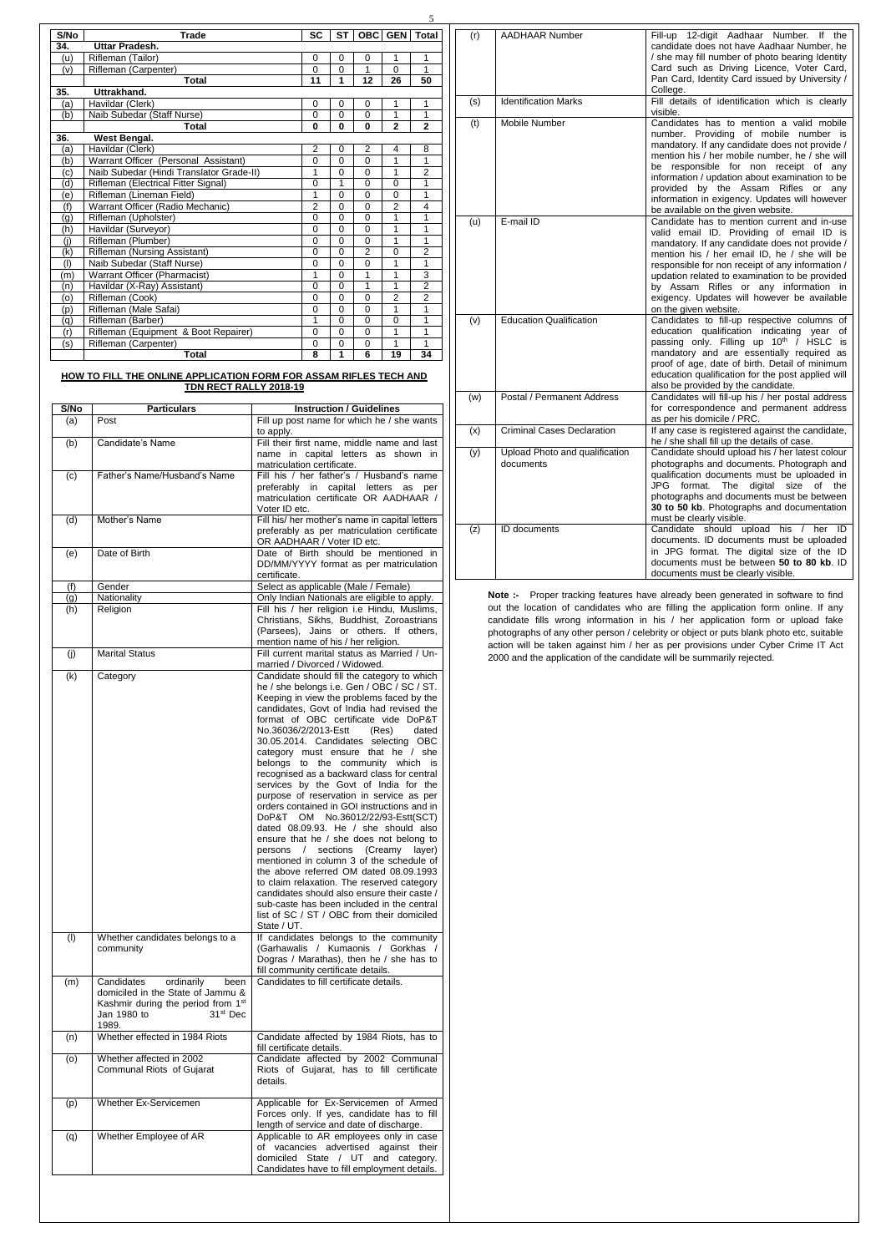5

| S/No | <b>Trade</b>                             | <b>SC</b>      | <b>ST</b>    |                | OBC GEN Total  |                |
|------|------------------------------------------|----------------|--------------|----------------|----------------|----------------|
| 34.  | Uttar Pradesh.                           |                |              |                |                |                |
| (u)  | Rifleman (Tailor)                        | 0              | 0            | 0              | 1              | 1              |
| (v)  | Rifleman (Carpenter)                     | $\Omega$       | $\mathbf{0}$ | 1              | $\mathbf{0}$   | 1              |
|      | <b>Total</b>                             | 11             | 1            | 12             | 26             | 50             |
| 35.  | Uttrakhand.                              |                |              |                |                |                |
| (a)  | Havildar (Clerk)                         | 0              | 0            | 0              | 1              | 1              |
| (b)  | Naib Subedar (Staff Nurse)               | $\Omega$       | $\mathbf{0}$ | $\Omega$       | 1              | 1              |
|      | <b>Total</b>                             | $\bf{0}$       | $\bf{0}$     | $\bf{0}$       | $\mathbf{2}$   | $\mathbf{2}$   |
| 36.  | <b>West Bengal.</b>                      |                |              |                |                |                |
| (a)  | Havildar (Clerk)                         | $\overline{2}$ | 0            | $\overline{c}$ | 4              | 8              |
| (b)  | Warrant Officer (Personal Assistant)     | $\Omega$       | $\mathbf{0}$ | $\overline{0}$ | 1              | 1              |
| (c)  | Naib Subedar (Hindi Translator Grade-II) | 1              | 0            | $\Omega$       | 1              | $\overline{2}$ |
| (d)  | Rifleman (Electrical Fitter Signal)      | $\Omega$       | 1            | $\Omega$       | $\Omega$       | 1              |
| 'e)  | Rifleman (Lineman Field)                 | 1              | 0            | $\Omega$       | 0              | 1              |
| (f)  | Warrant Officer (Radio Mechanic)         | $\overline{2}$ | $\Omega$     | $\Omega$       | $\overline{2}$ | 4              |
| (g)  | Rifleman (Upholster)                     | $\Omega$       | $\mathbf{0}$ | $\Omega$       | 1              | 1              |
| (h)  | Havildar (Surveyor)                      | $\Omega$       | $\mathbf{0}$ | $\Omega$       | 1              | 1              |
| (i)  | Rifleman (Plumber)                       | $\Omega$       | $\Omega$     | $\Omega$       | 1              | 1              |
| (k)  | <b>Rifleman (Nursing Assistant)</b>      | $\Omega$       | $\Omega$     | $\overline{2}$ | $\overline{0}$ | $\overline{2}$ |
| (1)  | Naib Subedar (Staff Nurse)               | $\Omega$       | $\Omega$     | $\Omega$       | 1              | 1              |
| (m)  | <b>Warrant Officer (Pharmacist)</b>      | 1              | $\mathbf{0}$ | 1              | 1              | 3              |
| (n)  | Havildar (X-Ray) Assistant)              | 0              | 0            | 1              | 1              | $\overline{2}$ |
| (o)  | Rifleman (Cook)                          | $\Omega$       | $\mathbf{0}$ | $\Omega$       | $\overline{2}$ | $\mathfrak{p}$ |
| (p)  | Rifleman (Male Safai)                    | 0              | 0            | $\Omega$       | 1              | 1              |
| (q)  | Rifleman (Barber)                        | 1              | $\Omega$     | $\Omega$       | 0              | 1              |
| (r)  | Rifleman (Equipment & Boot Repairer)     | $\Omega$       | 0            | $\Omega$       | 1              | 1              |
| (s)  | Rifleman (Carpenter)                     | $\Omega$       | $\mathbf{0}$ | $\Omega$       | 1              | 1              |
|      | Total                                    | 8              | 1            | 6              | 19             | 34             |

## **HOW TO FILL THE ONLINE APPLICATION FORM FOR ASSAM RIFLES TECH AND TDN RECT RALLY 2018-19**

| S/No       | <b>Particulars</b>                                                                                                                                                      | <b>Instruction / Guidelines</b>                                                                                                                                                                                                                                                                                                                                                                                                                                                                                                                                                                                                                                                                                                                                                                                                                                                                                                                                                                                                                                                 |
|------------|-------------------------------------------------------------------------------------------------------------------------------------------------------------------------|---------------------------------------------------------------------------------------------------------------------------------------------------------------------------------------------------------------------------------------------------------------------------------------------------------------------------------------------------------------------------------------------------------------------------------------------------------------------------------------------------------------------------------------------------------------------------------------------------------------------------------------------------------------------------------------------------------------------------------------------------------------------------------------------------------------------------------------------------------------------------------------------------------------------------------------------------------------------------------------------------------------------------------------------------------------------------------|
| (a)        | Post                                                                                                                                                                    | Fill up post name for which he / she wants                                                                                                                                                                                                                                                                                                                                                                                                                                                                                                                                                                                                                                                                                                                                                                                                                                                                                                                                                                                                                                      |
| (b)        | Candidate's Name                                                                                                                                                        | to apply.<br>Fill their first name, middle name and last<br>name in capital letters as shown in                                                                                                                                                                                                                                                                                                                                                                                                                                                                                                                                                                                                                                                                                                                                                                                                                                                                                                                                                                                 |
| (c)        | Father's Name/Husband's Name                                                                                                                                            | matriculation certificate.<br>Fill his / her father's / Husband's name<br>preferably in capital letters as per<br>matriculation certificate OR AADHAAR /<br>Voter ID etc.                                                                                                                                                                                                                                                                                                                                                                                                                                                                                                                                                                                                                                                                                                                                                                                                                                                                                                       |
| (d)        | Mother's Name                                                                                                                                                           | Fill his/ her mother's name in capital letters<br>preferably as per matriculation certificate<br>OR AADHAAR / Voter ID etc.                                                                                                                                                                                                                                                                                                                                                                                                                                                                                                                                                                                                                                                                                                                                                                                                                                                                                                                                                     |
| (e)        | Date of Birth                                                                                                                                                           | Date of Birth should be mentioned in<br>DD/MM/YYYY format as per matriculation<br>certificate.                                                                                                                                                                                                                                                                                                                                                                                                                                                                                                                                                                                                                                                                                                                                                                                                                                                                                                                                                                                  |
| (f)        | Gender                                                                                                                                                                  | Select as applicable (Male / Female)                                                                                                                                                                                                                                                                                                                                                                                                                                                                                                                                                                                                                                                                                                                                                                                                                                                                                                                                                                                                                                            |
| (g)        | Nationality                                                                                                                                                             | Only Indian Nationals are eligible to apply.                                                                                                                                                                                                                                                                                                                                                                                                                                                                                                                                                                                                                                                                                                                                                                                                                                                                                                                                                                                                                                    |
| (h)        | Religion                                                                                                                                                                | Fill his / her religion i.e Hindu, Muslims,<br>Christians, Sikhs, Buddhist, Zoroastrians<br>(Parsees), Jains or others. If others,<br>mention name of his / her religion.                                                                                                                                                                                                                                                                                                                                                                                                                                                                                                                                                                                                                                                                                                                                                                                                                                                                                                       |
| (i)        | <b>Marital Status</b>                                                                                                                                                   | Fill current marital status as Married / Un-<br>married / Divorced / Widowed.                                                                                                                                                                                                                                                                                                                                                                                                                                                                                                                                                                                                                                                                                                                                                                                                                                                                                                                                                                                                   |
| (k)<br>(1) | Category<br>Whether candidates belongs to a                                                                                                                             | Candidate should fill the category to which<br>he / she belongs i.e. Gen / OBC / SC / ST.<br>Keeping in view the problems faced by the<br>candidates, Govt of India had revised the<br>format of OBC certificate vide DoP&T<br>No.36036/2/2013-Estt<br>(Res)<br>dated<br>30.05.2014. Candidates selecting OBC<br>category must ensure that he / she<br>belongs to the community which is<br>recognised as a backward class for central<br>services by the Govt of India for the<br>purpose of reservation in service as per<br>orders contained in GOI instructions and in<br>DoP&T OM No.36012/22/93-Estt(SCT)<br>dated 08.09.93. He / she should also<br>ensure that he / she does not belong to<br>persons / sections (Creamy layer)<br>mentioned in column 3 of the schedule of<br>the above referred OM dated 08.09.1993<br>to claim relaxation. The reserved category<br>candidates should also ensure their caste /<br>sub-caste has been included in the central<br>list of SC / ST / OBC from their domiciled<br>State / UT.<br>If candidates belongs to the community |
|            | community                                                                                                                                                               | (Garhawalis / Kumaonis / Gorkhas /<br>Dogras / Marathas), then he / she has to<br>fill community certificate details.                                                                                                                                                                                                                                                                                                                                                                                                                                                                                                                                                                                                                                                                                                                                                                                                                                                                                                                                                           |
| (m)        | Candidates<br>ordinarily<br>been<br>domiciled in the State of Jammu &<br>Kashmir during the period from 1 <sup>st</sup><br>Jan 1980 to<br>31 <sup>st</sup> Dec<br>1989. | Candidates to fill certificate details.                                                                                                                                                                                                                                                                                                                                                                                                                                                                                                                                                                                                                                                                                                                                                                                                                                                                                                                                                                                                                                         |
| (n)        | Whether effected in 1984 Riots                                                                                                                                          | Candidate affected by 1984 Riots, has to<br>fill certificate details.                                                                                                                                                                                                                                                                                                                                                                                                                                                                                                                                                                                                                                                                                                                                                                                                                                                                                                                                                                                                           |
| (o)        | Whether affected in 2002<br>Communal Riots of Gujarat                                                                                                                   | Candidate affected by 2002 Communal<br>Riots of Gujarat, has to fill certificate<br>details.                                                                                                                                                                                                                                                                                                                                                                                                                                                                                                                                                                                                                                                                                                                                                                                                                                                                                                                                                                                    |
| (p)        | Whether Ex-Servicemen                                                                                                                                                   | Applicable for Ex-Servicemen of Armed<br>Forces only. If yes, candidate has to fill<br>length of service and date of discharge.                                                                                                                                                                                                                                                                                                                                                                                                                                                                                                                                                                                                                                                                                                                                                                                                                                                                                                                                                 |
| (q)        | Whether Employee of AR                                                                                                                                                  | Applicable to AR employees only in case<br>of vacancies advertised against their<br>domiciled State / UT and category.<br>Candidates have to fill employment details.                                                                                                                                                                                                                                                                                                                                                                                                                                                                                                                                                                                                                                                                                                                                                                                                                                                                                                           |

**Note :-** Proper tracking features have already been generated in software to find out the location of candidates who are filling the application form online. If any candidate fills wrong information in his / her application form or upload fake photographs of any other person / celebrity or object or puts blank photo etc, suitable action will be taken against him / her as per provisions under Cyber Crime IT Act 2000 and the application of the candidate will be summarily rejected.

| (r) | <b>AADHAAR Number</b>                       | Fill-up 12-digit Aadhaar Number.<br>If the<br>candidate does not have Aadhaar Number, he<br>/ she may fill number of photo bearing Identity<br>Card such as Driving Licence, Voter Card,<br>Pan Card, Identity Card issued by University /<br>College.                                                                                                                                                               |
|-----|---------------------------------------------|----------------------------------------------------------------------------------------------------------------------------------------------------------------------------------------------------------------------------------------------------------------------------------------------------------------------------------------------------------------------------------------------------------------------|
| (s) | <b>Identification Marks</b>                 | Fill details of identification which is clearly<br>visible.                                                                                                                                                                                                                                                                                                                                                          |
| (t) | Mobile Number                               | Candidates has to mention a valid mobile<br>number. Providing of mobile number is<br>mandatory. If any candidate does not provide /<br>mention his / her mobile number, he / she will<br>responsible for non receipt of any<br>be<br>information / updation about examination to be<br>provided by the Assam Rifles or<br>any<br>information in exigency. Updates will however<br>be available on the given website. |
| (u) | E-mail ID                                   | Candidate has to mention current and in-use<br>valid email ID. Providing of email ID is<br>mandatory. If any candidate does not provide /<br>mention his / her email ID, he / she will be<br>responsible for non receipt of any information /<br>updation related to examination to be provided<br>by Assam Rifles or any information in<br>exigency. Updates will however be available<br>on the given website.     |
| (v) | <b>Education Qualification</b>              | Candidates to fill-up respective columns of<br>education qualification indicating year<br>οf<br>passing only. Filling up 10 <sup>th</sup> / HSLC is<br>mandatory and are essentially required as<br>proof of age, date of birth. Detail of minimum<br>education qualification for the post applied will<br>also be provided by the candidate.                                                                        |
| (w) | Postal / Permanent Address                  | Candidates will fill-up his / her postal address<br>for correspondence and permanent address<br>as per his domicile / PRC.                                                                                                                                                                                                                                                                                           |
| (x) | <b>Criminal Cases Declaration</b>           | If any case is registered against the candidate,<br>he / she shall fill up the details of case.                                                                                                                                                                                                                                                                                                                      |
| (y) | Upload Photo and qualification<br>documents | Candidate should upload his / her latest colour<br>photographs and documents. Photograph and<br>qualification documents must be uploaded in<br>JPG<br>format.<br>The<br>digital<br>size<br>οf<br>the<br>photographs and documents must be between<br>30 to 50 kb. Photographs and documentation<br>must be clearly visible.                                                                                          |
| (z) | <b>ID</b> documents                         | Candidate should<br>upload<br>her<br>his<br>ID<br>documents. ID documents must be uploaded<br>in JPG format. The digital size of the ID<br>documents must be between 50 to 80 kb. ID<br>documents must be clearly visible.                                                                                                                                                                                           |